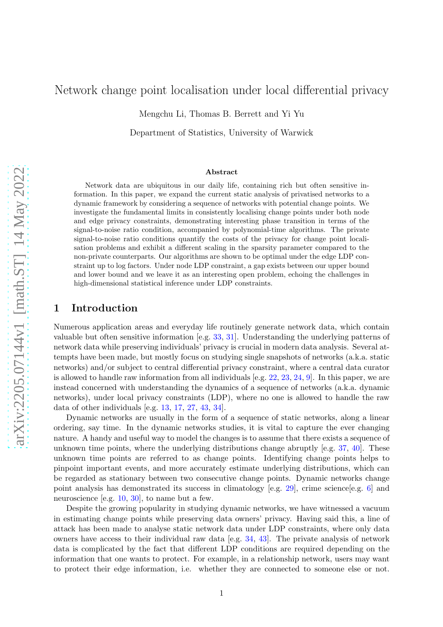# Network change point localisation under local differential privacy

Mengchu Li, Thomas B. Berrett and Yi Yu

Department of Statistics, University of Warwick

#### Abstract

Network data are ubiquitous in our daily life, containing rich but often sensitive information. In this paper, we expand the current static analysis of privatised networks to a dynamic framework by considering a sequence of networks with potential change points. We investigate the fundamental limits in consistently localising change points under both node and edge privacy constraints, demonstrating interesting phase transition in terms of the signal-to-noise ratio condition, accompanied by polynomial-time algorithms. The private signal-to-noise ratio conditions quantify the costs of the privacy for change point localisation problems and exhibit a different scaling in the sparsity parameter compared to the non-private counterparts. Our algorithms are shown to be optimal under the edge LDP constraint up to log factors. Under node LDP constraint, a gap exists between our upper bound and lower bound and we leave it as an interesting open problem, echoing the challenges in high-dimensional statistical inference under LDP constraints.

## 1 Introduction

Numerous application areas and everyday life routinely generate network data, which contain valuable but often sensitive information [e.g. [33](#page-12-0), [31\]](#page-12-1). Understanding the underlying patterns of network data while preserving individuals' privacy is crucial in modern data analysis. Several attempts have been made, but mostly focus on studying single snapshots of networks (a.k.a. static networks) and/or subject to central differential privacy constraint, where a central data curator is allowed to handle raw information from all individuals [e.g. [22](#page-11-0), [23,](#page-11-1) [24](#page-11-2), [9\]](#page-10-0). In this paper, we are instead concerned with understanding the dynamics of a sequence of networks (a.k.a. dynamic networks), under local privacy constraints (LDP), where no one is allowed to handle the raw data of other individuals [e.g. [13](#page-11-3), [17,](#page-11-4) [27](#page-11-5), [43,](#page-12-2) [34](#page-12-3)].

Dynamic networks are usually in the form of a sequence of static networks, along a linear ordering, say time. In the dynamic networks studies, it is vital to capture the ever changing nature. A handy and useful way to model the changes is to assume that there exists a sequence of unknown time points, where the underlying distributions change abruptly [e.g. [37](#page-12-4), [40](#page-12-5)]. These unknown time points are referred to as change points. Identifying change points helps to pinpoint important events, and more accurately estimate underlying distributions, which can be regarded as stationary between two consecutive change points. Dynamic networks change point analysis has demonstrated its success in climatology [e.g. [29\]](#page-12-6), crime science [e.g. [6](#page-10-1)] and neuroscience [e.g. [10](#page-10-2), [30](#page-12-7)], to name but a few.

Despite the growing popularity in studying dynamic networks, we have witnessed a vacuum in estimating change points while preserving data owners' privacy. Having said this, a line of attack has been made to analyse static network data under LDP constraints, where only data owners have access to their individual raw data [e.g. [34](#page-12-3), [43](#page-12-2)]. The private analysis of network data is complicated by the fact that different LDP conditions are required depending on the information that one wants to protect. For example, in a relationship network, users may want to protect their edge information, i.e. whether they are connected to someone else or not.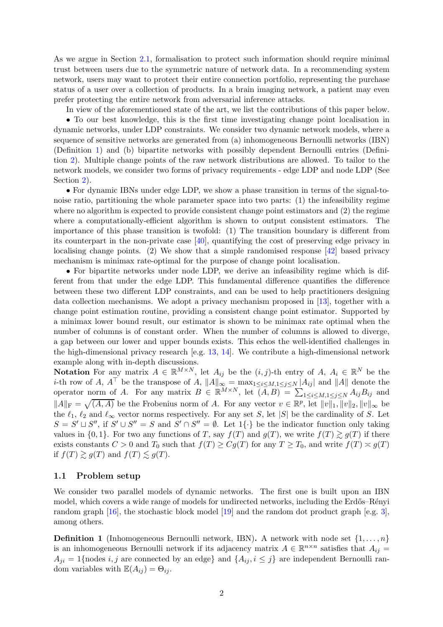As we argue in Section [2.1,](#page-3-0) formalisation to protect such information should require minimal trust between users due to the symmetric nature of network data. In a recommending system network, users may want to protect their entire connection portfolio, representing the purchase status of a user over a collection of products. In a brain imaging network, a patient may even prefer protecting the entire network from adversarial inference attacks.

In view of the aforementioned state of the art, we list the contributions of this paper below.

• To our best knowledge, this is the first time investigating change point localisation in dynamic networks, under LDP constraints. We consider two dynamic network models, where a sequence of sensitive networks are generated from (a) inhomogeneous Bernoulli networks (IBN) (Definition [1\)](#page-1-0) and (b) bipartite networks with possibly dependent Bernoulli entries (Definition [2\)](#page-2-0). Multiple change points of the raw network distributions are allowed. To tailor to the network models, we consider two forms of privacy requirements - edge LDP and node LDP (See Section [2\)](#page-2-1).

• For dynamic IBNs under edge LDP, we show a phase transition in terms of the signal-tonoise ratio, partitioning the whole parameter space into two parts: (1) the infeasibility regime where no algorithm is expected to provide consistent change point estimators and (2) the regime where a computationally-efficient algorithm is shown to output consistent estimators. The importance of this phase transition is twofold: (1) The transition boundary is different from its counterpart in the non-private case [\[40\]](#page-12-5), quantifying the cost of preserving edge privacy in localising change points. (2) We show that a simple randomised response [\[42](#page-12-8)] based privacy mechanism is minimax rate-optimal for the purpose of change point localisation.

• For bipartite networks under node LDP, we derive an infeasibility regime which is different from that under the edge LDP. This fundamental difference quantifies the difference between these two different LDP constraints, and can be used to help practitioners designing data collection mechanisms. We adopt a privacy mechanism proposed in [\[13](#page-11-3)], together with a change point estimation routine, providing a consistent change point estimator. Supported by a minimax lower bound result, our estimator is shown to be minimax rate optimal when the number of columns is of constant order. When the number of columns is allowed to diverge, a gap between our lower and upper bounds exists. This echos the well-identified challenges in the high-dimensional privacy research [e.g. [13](#page-11-3), [14](#page-11-6)]. We contribute a high-dimensional network example along with in-depth discussions.

Notation For any matrix  $A \in \mathbb{R}^{M \times N}$ , let  $A_{ij}$  be the  $(i, j)$ -th entry of  $A, A_i \in \mathbb{R}^N$  be the *i*-th row of A,  $A^{\top}$  be the transpose of A,  $||A||_{\infty} = \max_{1 \leq i \leq M, 1 \leq j \leq N} |A_{ij}|$  and  $||A||$  denote the operator norm of A. For any matrix  $B \in \mathbb{R}^{M \times N}$ , let  $(A, B) = \sum_{1 \leq i \leq M, 1 \leq j \leq N} A_{ij} B_{ij}$  and  $||A||_F = \sqrt{(A, A)}$  be the Frobenius norm of A. For any vector  $v \in \mathbb{R}^p$ , let  $||v||_1, ||v||_2, ||v||_{\infty}$  be the  $\ell_1$ ,  $\ell_2$  and  $\ell_{\infty}$  vector norms respectively. For any set S, let |S| be the cardinality of S. Let  $S = S' \sqcup S''$ , if  $S' \cup S'' = S$  and  $S' \cap S'' = \emptyset$ . Let  $1\{\cdot\}$  be the indicator function only taking values in  $\{0,1\}$ . For two any functions of T, say  $f(T)$  and  $g(T)$ , we write  $f(T) \gtrsim g(T)$  if there exists constants  $C > 0$  and  $T_0$  such that  $f(T) \geq Cg(T)$  for any  $T \geq T_0$ , and write  $f(T) \approx g(T)$ if  $f(T) \gtrsim g(T)$  and  $f(T) \lesssim g(T)$ .

### <span id="page-1-1"></span>1.1 Problem setup

We consider two parallel models of dynamic networks. The first one is built upon an IBN model, which covers a wide range of models for undirected networks, including the Erdős–Rényi random graph [\[16\]](#page-11-7), the stochastic block model [\[19\]](#page-11-8) and the random dot product graph [e.g. [3](#page-10-3)], among others.

<span id="page-1-0"></span>**Definition 1** (Inhomogeneous Bernoulli network, IBN). A network with node set  $\{1, \ldots, n\}$ is an inhomogeneous Bernoulli network if its adjacency matrix  $A \in \mathbb{R}^{n \times n}$  satisfies that  $A_{ij} =$  $A_{ii} = 1$ {nodes *i, j* are connected by an edge} and  $\{A_{ii}, i \leq j\}$  are independent Bernoulli random variables with  $\mathbb{E}(A_{ij}) = \Theta_{ij}$ .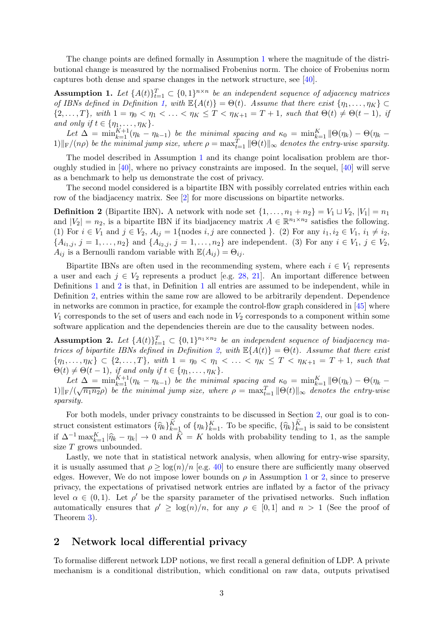The change points are defined formally in Assumption [1](#page-2-2) where the magnitude of the distributional change is measured by the normalised Frobenius norm. The choice of Frobenius norm captures both dense and sparse changes in the network structure, see [\[40](#page-12-5)].

<span id="page-2-2"></span>Assumption 1. Let  $\{A(t)\}_{t=1}^T \subset \{0,1\}^{n \times n}$  be an independent sequence of adjacency matrices *of IBNs defined in Definition [1,](#page-1-0) with*  $\mathbb{E}{A(t)} = \Theta(t)$ *. Assume that there exist*  $\{\eta_1, \dots, \eta_K\}$  $\{2,\ldots,T\}$ *, with*  $1 = \eta_0 < \eta_1 < \ldots < \eta_K \leq T < \eta_{K+1} = T + 1$ *, such that*  $\Theta(t) \neq \Theta(t-1)$ *, if and only if*  $t \in \{\eta_1, \ldots, \eta_K\}.$ 

Let  $\Delta = \min_{k=1}^{K+1} (\eta_k - \eta_{k-1})$  *be the minimal spacing and*  $\kappa_0 = \min_{k=1}^{K} ||\Theta(\eta_k) - \Theta(\eta_k - \eta_k)||$  $1)\|\mathbf{F}/(n\rho)$  be the minimal jump size, where  $\rho = \max_{t=1}^T \|\Theta(t)\|_{\infty}$  denotes the entry-wise sparsity.

The model described in Assumption [1](#page-2-2) and its change point localisation problem are thoroughly studied in  $[40]$ , where no privacy constraints are imposed. In the sequel,  $[40]$  will serve as a benchmark to help us demonstrate the cost of privacy.

<span id="page-2-0"></span>The second model considered is a bipartite IBN with possibly correlated entries within each row of the biadjacency matrix. See [\[2](#page-10-4)] for more discussions on bipartite networks.

**Definition 2** (Bipartite IBN). A network with node set  $\{1, \ldots, n_1 + n_2\} = V_1 \sqcup V_2$ ,  $|V_1| = n_1$ and  $|V_2| = n_2$ , is a bipartite IBN if its biadjacency matrix  $A \in \mathbb{R}^{n_1 \times n_2}$  satisfies the following. (1) For  $i \in V_1$  and  $j \in V_2$ ,  $A_{ij} = 1$ {nodes  $i, j$  are connected }. (2) For any  $i_1, i_2 \in V_1$ ,  $i_1 \neq i_2$ ,  ${A_{i_1,j}, j = 1, ..., n_2}$  and  ${A_{i_2,j}, j = 1, ..., n_2}$  are independent. (3) For any  $i \in V_1, j \in V_2$ ,  $A_{ij}$  is a Bernoulli random variable with  $\mathbb{E}(A_{ij}) = \Theta_{ij}$ .

Bipartite IBNs are often used in the recommending system, where each  $i \in V_1$  represents a user and each  $j \in V_2$  represents a product [e.g. [28,](#page-11-9) [21](#page-11-10)]. An important difference between Definitions [1](#page-1-0) and [2](#page-2-0) is that, in Definition [1](#page-1-0) all entries are assumed to be independent, while in Definition [2,](#page-2-0) entries within the same row are allowed to be arbitrarily dependent. Dependence in networks are common in practice, for example the control-flow graph considered in [\[45](#page-13-0)] where  $V_1$  corresponds to the set of users and each node in  $V_2$  corresponds to a component within some software application and the dependencies therein are due to the causality between nodes.

<span id="page-2-3"></span>Assumption 2. Let  $\{A(t)\}_{t=1}^T \subset \{0,1\}^{n_1 \times n_2}$  be an independent sequence of biadjacency ma*trices of bipartite IBNs defined in Definition* [2,](#page-2-0) with  $\mathbb{E}{A(t)} = \Theta(t)$ . Assume that there exist  ${\eta_1, \ldots, \eta_K} \subset {2, \ldots, T}$ *, with*  $1 = \eta_0 < \eta_1 < \ldots < \eta_K \le T < \eta_{K+1} = T + 1$ *, such that*  $\Theta(t) \neq \Theta(t-1)$ *, if and only if*  $t \in \{\eta_1, \ldots, \eta_K\}$ *.* 

Let  $\Delta = \min_{k=1}^{K+1} (\eta_k - \eta_{k-1})$  *be the minimal spacing and*  $\kappa_0 = \min_{k=1}^{K} ||\Theta(\eta_k) - \Theta(\eta_k - \eta_k)||$  $1)\|\mathbf{F}/(\sqrt{n_1n_2}\rho)$  *be the minimal jump size, where*  $\rho = \max_{t=1}^T \|\Theta(t)\|_{\infty}$  *denotes the entry-wise sparsity.*

For both models, under privacy constraints to be discussed in Section [2,](#page-2-1) our goal is to construct consistent estimators  $\{\widehat{\eta}_k\}_{k=1}^{\widehat{K}}$  of  $\{\eta_k\}_{k=1}^K$ . To be specific,  $\{\widehat{\eta}_k\}_{k=1}^{\widehat{K}}$  is said to be consistent if  $\Delta^{-1} \max_{k=1}^K |\hat{\eta}_k - \eta_k| \to 0$  and  $\hat{K} = K$  holds with probability tending to 1, as the sample size T grows unbounded.

Lastly, we note that in statistical network analysis, when allowing for entry-wise sparsity, it is usually assumed that  $\rho \geq \log(n)/n$  [e.g. [40](#page-12-5)] to ensure there are sufficiently many observed edges. However, We do not impose lower bounds on  $\rho$  in Assumption [1](#page-2-2) or [2,](#page-2-3) since to preserve privacy, the expectations of privatised network entries are inflated by a factor of the privacy level  $\alpha \in (0,1)$ . Let  $\rho'$  be the sparsity parameter of the privatised networks. Such inflation automatically ensures that  $\rho' \ge \log(n)/n$ , for any  $\rho \in [0,1]$  and  $n > 1$  (See the proof of Theorem [3\)](#page-7-0).

# <span id="page-2-1"></span>2 Network local differential privacy

To formalise different network LDP notions, we first recall a general definition of LDP. A private mechanism is a conditional distribution, which conditional on raw data, outputs privatised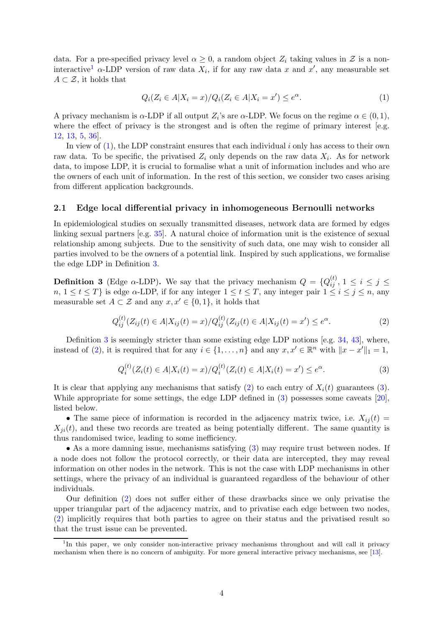data. For a pre-specified privacy level  $\alpha \geq 0$ , a random object  $Z_i$  taking values in  $\mathcal Z$  is a non-interactive<sup>[1](#page-3-1)</sup>  $\alpha$ -LDP version of raw data  $X_i$ , if for any raw data x and x', any measurable set  $A \subset \mathcal{Z}$ , it holds that

<span id="page-3-2"></span>
$$
Q_i(Z_i \in A | X_i = x) / Q_i(Z_i \in A | X_i = x') \le e^{\alpha}.
$$
\n<sup>(1)</sup>

A privacy mechanism is  $\alpha$ -LDP if all output  $Z_i$ 's are  $\alpha$ -LDP. We focus on the regime  $\alpha \in (0,1)$ , where the effect of privacy is the strongest and is often the regime of primary interest [e.g. [12,](#page-11-11) [13](#page-11-3), [5,](#page-10-5) [36](#page-12-9)].

In view of  $(1)$ , the LDP constraint ensures that each individual i only has access to their own raw data. To be specific, the privatised  $Z_i$  only depends on the raw data  $X_i$ . As for network data, to impose LDP, it is crucial to formalise what a unit of information includes and who are the owners of each unit of information. In the rest of this section, we consider two cases arising from different application backgrounds.

### <span id="page-3-0"></span>2.1 Edge local differential privacy in inhomogeneous Bernoulli networks

In epidemiological studies on sexually transmitted diseases, network data are formed by edges linking sexual partners [e.g. [35\]](#page-12-10). A natural choice of information unit is the existence of sexual relationship among subjects. Due to the sensitivity of such data, one may wish to consider all parties involved to be the owners of a potential link. Inspired by such applications, we formalise the edge LDP in Definition [3.](#page-3-3)

<span id="page-3-3"></span>**Definition 3** (Edge  $\alpha$ -LDP). We say that the privacy mechanism  $Q = \{Q_{ij}^{(t)}, 1 \le i \le j \le n\}$  $n, 1 \le t \le T$ } is edge  $\alpha$ -LDP, if for any integer  $1 \le t \le T$ , any integer pair  $1 \le i \le j \le n$ , any measurable set  $A \subset \mathcal{Z}$  and any  $x, x' \in \{0, 1\}$ , it holds that

<span id="page-3-4"></span>
$$
Q_{ij}^{(t)}(Z_{ij}(t) \in A | X_{ij}(t) = x) / Q_{ij}^{(t)}(Z_{ij}(t) \in A | X_{ij}(t) = x') \le e^{\alpha}.
$$
 (2)

Definition [3](#page-3-3) is seemingly stricter than some existing edge LDP notions [e.g.  $34$ ,  $43$ ], where, instead of [\(2\)](#page-3-4), it is required that for any  $i \in \{1, ..., n\}$  and any  $x, x' \in \mathbb{R}^n$  with  $||x - x'||_1 = 1$ ,

<span id="page-3-5"></span>
$$
Q_i^{(t)}(Z_i(t) \in A | X_i(t) = x) / Q_i^{(t)}(Z_i(t) \in A | X_i(t) = x') \le e^{\alpha}.
$$
\n(3)

It is clear that applying any mechanisms that satisfy [\(2\)](#page-3-4) to each entry of  $X_i(t)$  guarantees [\(3\)](#page-3-5). While appropriate for some settings, the edge LDP defined in [\(3\)](#page-3-5) possesses some caveats [\[20](#page-11-12)], listed below.

• The same piece of information is recorded in the adjacency matrix twice, i.e.  $X_{ij}(t) =$  $X_{ii}(t)$ , and these two records are treated as being potentially different. The same quantity is thus randomised twice, leading to some inefficiency.

• As a more damning issue, mechanisms satisfying [\(3\)](#page-3-5) may require trust between nodes. If a node does not follow the protocol correctly, or their data are intercepted, they may reveal information on other nodes in the network. This is not the case with LDP mechanisms in other settings, where the privacy of an individual is guaranteed regardless of the behaviour of other individuals.

Our definition [\(2\)](#page-3-4) does not suffer either of these drawbacks since we only privatise the upper triangular part of the adjacency matrix, and to privatise each edge between two nodes, [\(2\)](#page-3-4) implicitly requires that both parties to agree on their status and the privatised result so that the trust issue can be prevented.

<span id="page-3-1"></span><sup>&</sup>lt;sup>1</sup>In this paper, we only consider non-interactive privacy mechanisms throughout and will call it privacy mechanism when there is no concern of ambiguity. For more general interactive privacy mechanisms, see [\[13\]](#page-11-3).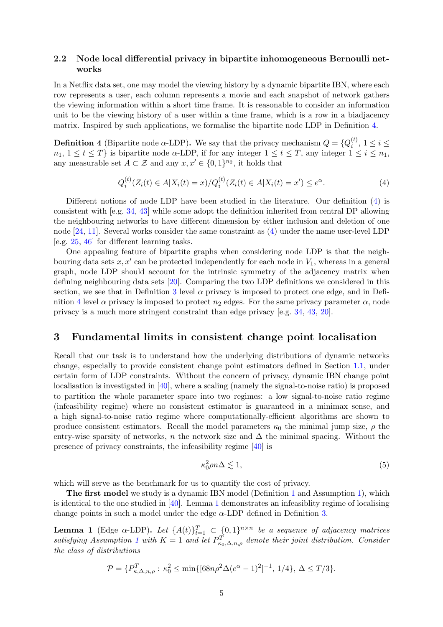## 2.2 Node local differential privacy in bipartite inhomogeneous Bernoulli networks

In a Netflix data set, one may model the viewing history by a dynamic bipartite IBN, where each row represents a user, each column represents a movie and each snapshot of network gathers the viewing information within a short time frame. It is reasonable to consider an information unit to be the viewing history of a user within a time frame, which is a row in a biadjacency matrix. Inspired by such applications, we formalise the bipartite node LDP in Definition [4.](#page-4-0)

<span id="page-4-0"></span>**Definition 4** (Bipartite node  $\alpha$ -LDP). We say that the privacy mechanism  $Q = \{Q_i^{(t)}\}$  $i^{(i)}$ ,  $1 \leq i \leq$  $n_1, 1 \le t \le T$  is bipartite node  $\alpha$ -LDP, if for any integer  $1 \le t \le T$ , any integer  $1 \le i \le n_1$ , any measurable set  $A \subset \mathcal{Z}$  and any  $x, x' \in \{0, 1\}^{n_2}$ , it holds that

<span id="page-4-1"></span>
$$
Q_i^{(t)}(Z_i(t) \in A | X_i(t) = x) / Q_i^{(t)}(Z_i(t) \in A | X_i(t) = x') \le e^{\alpha}.
$$
\n(4)

Different notions of node LDP have been studied in the literature. Our definition [\(4\)](#page-4-1) is consistent with [e.g. [34,](#page-12-3) [43](#page-12-2)] while some adopt the definition inherited from central DP allowing the neighbouring networks to have different dimension by either inclusion and deletion of one node  $[24, 11]$  $[24, 11]$  $[24, 11]$ . Several works consider the same constraint as  $(4)$  under the name user-level LDP [e.g. [25,](#page-11-13) [46](#page-13-1)] for different learning tasks.

One appealing feature of bipartite graphs when considering node LDP is that the neighbouring data sets  $x, x'$  can be protected independently for each node in  $V_1$ , whereas in a general graph, node LDP should account for the intrinsic symmetry of the adjacency matrix when defining neighbouring data sets [\[20](#page-11-12)]. Comparing the two LDP definitions we considered in this section, we see that in Definition [3](#page-3-3) level  $\alpha$  privacy is imposed to protect one edge, and in Defi-nition [4](#page-4-0) level  $\alpha$  privacy is imposed to protect  $n_2$  edges. For the same privacy parameter  $\alpha$ , node privacy is a much more stringent constraint than edge privacy [e.g. [34](#page-12-3), [43,](#page-12-2) [20](#page-11-12)].

## <span id="page-4-4"></span>3 Fundamental limits in consistent change point localisation

Recall that our task is to understand how the underlying distributions of dynamic networks change, especially to provide consistent change point estimators defined in Section [1.1,](#page-1-1) under certain form of LDP constraints. Without the concern of privacy, dynamic IBN change point localisation is investigated in [\[40](#page-12-5)], where a scaling (namely the signal-to-noise ratio) is proposed to partition the whole parameter space into two regimes: a low signal-to-noise ratio regime (infeasibility regime) where no consistent estimator is guaranteed in a minimax sense, and a high signal-to-noise ratio regime where computationally-efficient algorithms are shown to produce consistent estimators. Recall the model parameters  $\kappa_0$  the minimal jump size,  $\rho$  the entry-wise sparsity of networks, n the network size and  $\Delta$  the minimal spacing. Without the presence of privacy constraints, the infeasibility regime [\[40](#page-12-5)] is

<span id="page-4-3"></span>
$$
\kappa_0^2 \rho n \Delta \lesssim 1,\tag{5}
$$

which will serve as the benchmark for us to quantify the cost of privacy.

The first model we study is a dynamic IBN model (Definition [1](#page-1-0) and Assumption [1\)](#page-2-2), which is identical to the one studied in  $[40]$ . Lemma [1](#page-4-2) demonstrates an infeasibility regime of localising change points in such a model under the edge  $\alpha$ -LDP defined in Definition [3.](#page-3-3)

<span id="page-4-2"></span>**Lemma 1** (Edge  $\alpha$ -LDP). Let  $\{A(t)\}_{t=1}^T \subset \{0,1\}^{n \times n}$  be a sequence of adjacency matrices  $satisfying Assumption 1 with  $K = 1$  and let  $P_{\kappa_0,\Delta,n,\rho}^T$  denote their joint distribution. Consider$  $satisfying Assumption 1 with  $K = 1$  and let  $P_{\kappa_0,\Delta,n,\rho}^T$  denote their joint distribution. Consider$  $satisfying Assumption 1 with  $K = 1$  and let  $P_{\kappa_0,\Delta,n,\rho}^T$  denote their joint distribution. Consider$ *the class of distributions*

$$
\mathcal{P} = \{P_{\kappa,\Delta,n,\rho}^T : \kappa_0^2 \le \min\{[68n\rho^2\Delta(e^{\alpha}-1)^2]^{-1}, 1/4\}, \Delta \le T/3\}.
$$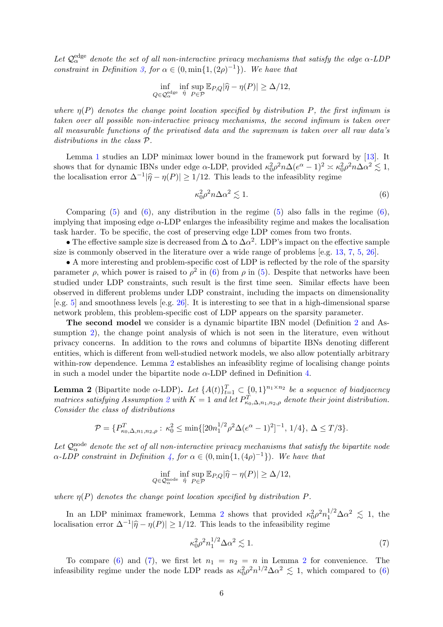Let  $\mathcal{Q}_{\alpha}^{\text{edge}}$  denote the set of all non-interactive privacy mechanisms that satisfy the edge  $\alpha$ -LDP *constraint in Definition* [3,](#page-3-3) for  $\alpha \in (0, \min\{1, (2\rho)^{-1}\})$ *. We have that* 

$$
\inf_{Q \in \mathcal{Q}_{\alpha}^{\text{edge}}} \inf_{\hat{\eta}} \sup_{P \in \mathcal{P}} \mathbb{E}_{P,Q} |\hat{\eta} - \eta(P)| \ge \Delta/12,
$$

*where*  $n(P)$  *denotes the change point location specified by distribution* P, the first infimum is *taken over all possible non-interactive privacy mechanisms, the second infimum is taken over all measurable functions of the privatised data and the supremum is taken over all raw data's distributions in the class* P*.*

Lemma [1](#page-4-2) studies an LDP minimax lower bound in the framework put forward by [\[13\]](#page-11-3). It shows that for dynamic IBNs under edge  $\alpha$ -LDP, provided  $\kappa_0^2 \rho^2 n \Delta (e^{\alpha} - 1)^2 \approx \kappa_0^2 \rho^2 n \Delta \alpha^2 \lesssim 1$ , the localisation error  $\Delta^{-1}|\hat{\eta} - \eta(P)| \ge 1/12$ . This leads to the infeasiblity regime

<span id="page-5-0"></span>
$$
\kappa_0^2 \rho^2 n \Delta \alpha^2 \lesssim 1. \tag{6}
$$

Comparing  $(5)$  and  $(6)$ , any distribution in the regime  $(5)$  also falls in the regime  $(6)$ , implying that imposing edge  $\alpha$ -LDP enlarges the infeasibility regime and makes the localisation task harder. To be specific, the cost of preserving edge LDP comes from two fronts.

• The effective sample size is decreased from  $\Delta$  to  $\Delta \alpha^2$ . LDP's impact on the effective sample size is commonly observed in the literature over a wide range of problems [e.g. [13](#page-11-3), [7](#page-10-7), [5](#page-10-5), [26](#page-11-14)].

• A more interesting and problem-specific cost of LDP is reflected by the role of the sparsity parameter  $\rho$ , which power is raised to  $\rho^2$  in [\(6\)](#page-5-0) from  $\rho$  in [\(5\)](#page-4-3). Despite that networks have been studied under LDP constraints, such result is the first time seen. Similar effects have been observed in different problems under LDP constraint, including the impacts on dimensionality [e.g. [5](#page-10-5)] and smoothness levels [e.g. [26](#page-11-14)]. It is interesting to see that in a high-dimensional sparse network problem, this problem-specific cost of LDP appears on the sparsity parameter.

The second model we consider is a dynamic bipartite IBN model (Definition [2](#page-2-0) and As-sumption [2\)](#page-2-3), the change point analysis of which is not seen in the literature, even without privacy concerns. In addition to the rows and columns of bipartite IBNs denoting different entities, which is different from well-studied network models, we also allow potentially arbitrary within-row dependence. Lemma [2](#page-5-1) establishes an infeasiblity regime of localising change points in such a model under the bipartite node  $\alpha$ -LDP defined in Definition [4.](#page-4-0)

<span id="page-5-1"></span>**Lemma 2** (Bipartite node  $\alpha$ -LDP). Let  $\{A(t)\}_{t=1}^T \subset \{0,1\}^{n_1 \times n_2}$  be a sequence of biadjacency *matrices satisfying Assumption*  $2$  *with*  $K = 1$  *and let*  $P_{\kappa_0,\Delta,n_1,n_2,\rho}^T$  *denote their joint distribution. Consider the class of distributions*

$$
\mathcal{P} = \{P_{\kappa_0,\Delta,n_1,n_2,\rho}^T : \kappa_0^2 \le \min\{[20n_1^{1/2}\rho^2\Delta(e^{\alpha}-1)^2]^{-1}, 1/4\}, \Delta \le T/3\}.
$$

Let  $\mathcal{Q}_{\alpha}^{\text{node}}$  denote the set of all non-interactive privacy mechanisms that satisfy the bipartite node  $\alpha$ -LDP constraint in Definition [4,](#page-4-0) for  $\alpha \in (0, \min\{1, (4\rho)^{-1}\})$ . We have that

$$
\inf_{Q \in \mathcal{Q}_{\alpha}^{\text{node}}} \inf_{\hat{\eta}} \sup_{P \in \mathcal{P}} \mathbb{E}_{P,Q} |\hat{\eta} - \eta(P)| \ge \Delta/12,
$$

*where*  $\eta(P)$  *denotes the change point location specified by distribution*  $P$ *.* 

In an LDP minimax framework, Lemma [2](#page-5-1) shows that provided  $\kappa_0^2 \rho^2 n_1^{1/2} \Delta \alpha^2 \lesssim 1$ , the localisation error  $\Delta^{-1}|\hat{\eta} - \eta(P)| \ge 1/12$ . This leads to the infeasibility regime

<span id="page-5-2"></span>
$$
\kappa_0^2 \rho^2 n_1^{1/2} \Delta \alpha^2 \lesssim 1. \tag{7}
$$

To compare [\(6\)](#page-5-0) and [\(7\)](#page-5-2), we first let  $n_1 = n_2 = n$  $n_1 = n_2 = n$  $n_1 = n_2 = n$  in Lemma 2 for convenience. The infeasibility regime under the node LDP reads as  $\kappa_0^2 \rho^2 n^{1/2} \Delta \alpha^2 \lesssim 1$ , which compared to [\(6\)](#page-5-0)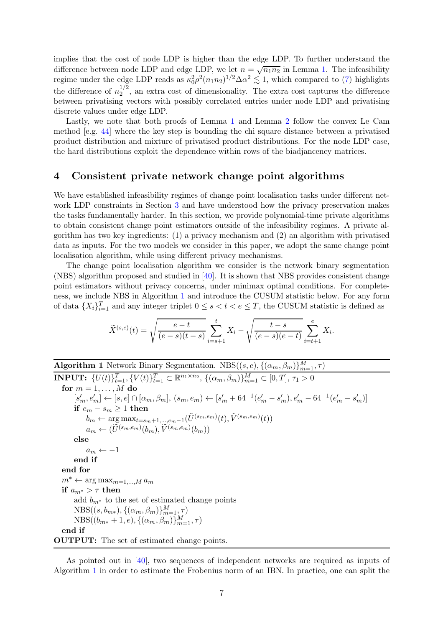implies that the cost of node LDP is higher than the edge LDP. To further understand the difference between node LDP and edge LDP, we let  $n = \sqrt{n_1 n_2}$  in Lemma [1.](#page-4-2) The infeasibility regime under the edge LDP reads as  $\kappa_0^2 \rho^2 (n_1 n_2)^{1/2} \Delta \alpha^2 \lesssim 1$ , which compared to [\(7\)](#page-5-2) highlights the difference of  $n_2^{1/2}$  $2^{1/2}$ , an extra cost of dimensionality. The extra cost captures the difference between privatising vectors with possibly correlated entries under node LDP and privatising discrete values under edge LDP.

Lastly, we note that both proofs of Lemma [1](#page-4-2) and Lemma [2](#page-5-1) follow the convex Le Cam method [e.g. [44\]](#page-13-2) where the key step is bounding the chi square distance between a privatised product distribution and mixture of privatised product distributions. For the node LDP case, the hard distributions exploit the dependence within rows of the biadjancency matrices.

## <span id="page-6-1"></span>4 Consistent private network change point algorithms

We have established infeasibility regimes of change point localisation tasks under different network LDP constraints in Section [3](#page-4-4) and have understood how the privacy preservation makes the tasks fundamentally harder. In this section, we provide polynomial-time private algorithms to obtain consistent change point estimators outside of the infeasibility regimes. A private algorithm has two key ingredients: (1) a privacy mechanism and (2) an algorithm with privatised data as inputs. For the two models we consider in this paper, we adopt the same change point localisation algorithm, while using different privacy mechanisms.

The change point localisation algorithm we consider is the network binary segmentation (NBS) algorithm proposed and studied in [\[40](#page-12-5)]. It is shown that NBS provides consistent change point estimators without privacy concerns, under minimax optimal conditions. For completeness, we include NBS in Algorithm [1](#page-6-0) and introduce the CUSUM statistic below. For any form of data  $\{X_i\}_{i=1}^T$  and any integer triplet  $0 \le s < t < e \le T$ , the CUSUM statistic is defined as

$$
\widetilde{X}^{(s,e)}(t) = \sqrt{\frac{e-t}{(e-s)(t-s)}} \sum_{i=s+1}^{t} X_i - \sqrt{\frac{t-s}{(e-s)(e-t)}} \sum_{i=t+1}^{e} X_i.
$$

<span id="page-6-0"></span>**Algorithm 1** Network Binary Segmentation.  $NBS((s, e), \{(\alpha_m, \beta_m)\}_{m=1}^M, \tau)$ **INPUT:**  $\{U(t)\}_{t=1}^T$ ,  $\{V(t)\}_{t=1}^T \subset \mathbb{R}^{n_1 \times n_2}$ ,  $\{(\alpha_m, \beta_m)\}_{m=1}^M \subset [0, T]$ ,  $\tau_1 > 0$ for  $m = 1, \ldots, M$  do  $[s'_m, e'_m] \leftarrow [s, e] \cap [\alpha_m, \beta_m], (s_m, e_m) \leftarrow [s'_m + 64^{-1}(e'_m - s'_m), e'_m - 64^{-1}(e'_m - s'_m)]$ if  $e_m - s_m ≥ 1$  then  $b_m \leftarrow \argmax_{t=s_m+1,\dots,e_m-1} (\tilde{U}^{(s_m,e_m)}(t),\tilde{V}^{(s_m,e_m)}(t))$  $a_m \leftarrow (\widetilde{U}^{(s_m, e_m)}(b_m), \widetilde{V}^{(s_m, e_m)}(b_m))$ else  $a_m \leftarrow -1$ end if end for  $m^* \leftarrow \arg \max_{m=1,...,M} a_m$ if  $a_{m^*} > \tau$  then add  $b_{m^*}$  to the set of estimated change points  $NBS((s, b_{m*}), \{(\alpha_m, \beta_m)\}_{m=1}^M, \tau)$  $NBS((b_{m*}+1, e), \{(\alpha_m, \beta_m)\}_{m=1}^M, \tau)$ end if OUTPUT: The set of estimated change points.

As pointed out in [\[40](#page-12-5)], two sequences of independent networks are required as inputs of Algorithm [1](#page-6-0) in order to estimate the Frobenius norm of an IBN. In practice, one can split the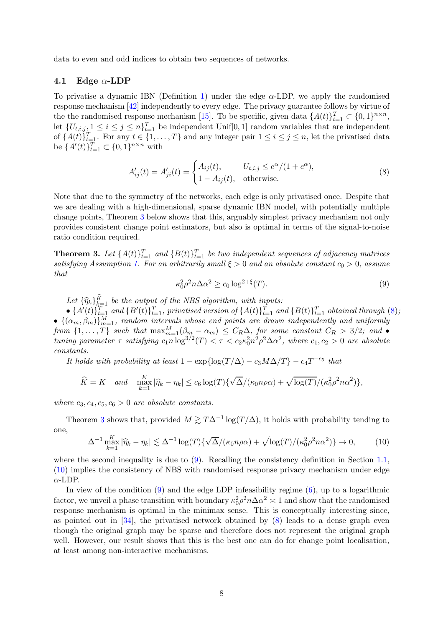data to even and odd indices to obtain two sequences of networks.

## 4.1 Edge  $\alpha$ -LDP

To privatise a dynamic IBN (Definition [1\)](#page-1-0) under the edge  $\alpha$ -LDP, we apply the randomised response mechanism [\[42\]](#page-12-8) independently to every edge. The privacy guarantee follows by virtue of the the randomised response mechanism [\[15\]](#page-11-15). To be specific, given data  $\{A(t)\}_{t=1}^T \subset \{0,1\}^{n \times n}$ , let  $\{U_{t,i,j}\}\leq i\leq j\leq n\}_{t=1}^T$  be independent Unif [0, 1] random variables that are independent of  $\{A(t)\}_{t=1}^T$ . For any  $t \in \{1, \ldots, T\}$  and any integer pair  $1 \leq i \leq j \leq n$ , let the privatised data be  $\{A'(t)\}_{t=1}^T \subset \{0,1\}^{n \times n}$  with

<span id="page-7-1"></span>
$$
A'_{ij}(t) = A'_{ji}(t) = \begin{cases} A_{ij}(t), & U_{t,i,j \le e^{\alpha}/(1+e^{\alpha}), \\ 1 - A_{ij}(t), & \text{otherwise.} \end{cases}
$$
(8)

Note that due to the symmetry of the networks, each edge is only privatised once. Despite that we are dealing with a high-dimensional, sparse dynamic IBN model, with potentially multiple change points, Theorem [3](#page-7-0) below shows that this, arguably simplest privacy mechanism not only provides consistent change point estimators, but also is optimal in terms of the signal-to-noise ratio condition required.

<span id="page-7-0"></span>**Theorem 3.** Let  $\{A(t)\}_{t=1}^T$  and  $\{B(t)\}_{t=1}^T$  be two independent sequences of adjacency matrices *satisfying Assumption [1.](#page-2-2) For an arbitrarily small*  $\xi > 0$  *and an absolute constant*  $c_0 > 0$ *, assume that*

<span id="page-7-2"></span>
$$
\kappa_0^2 \rho^2 n \Delta \alpha^2 \ge c_0 \log^{2+\xi}(T). \tag{9}
$$

Let  $\{\widehat{\eta}_k\}_{k=1}^{\widehat{K}}$  *be the output of the NBS algorithm, with inputs:* 

 $\bullet$   $\{A'(t)\}_{t=1}^T$  and  $\{B'(t)\}_{t=1}^T$ , privatised version of  $\{A(t)\}_{t=1}^T$  and  $\{B(t)\}_{t=1}^T$  obtained through [\(8\)](#page-7-1);  $\bullet$   $\{(\alpha_m, \beta_m)\}_{m=1}^M$ , random intervals whose end points are drawn independently and uniformly *from*  $\{1,\ldots,T\}$  *such that*  $\max_{m=1}^M (\beta_m - \alpha_m) \leq C_R \Delta$ , *for some constant*  $C_R > 3/2$ ; and  $\bullet$ *tuning parameter*  $\tau$  *satisfying*  $c_1 n \log^{3/2}(T) < \tau < c_2 \kappa_0^2 n^2 \rho^2 \Delta \alpha^2$ , where  $c_1, c_2 > 0$  are absolute *constants.*

*It holds with probability at least*  $1 - \exp{\log(T/\Delta) - c_3 M \Delta/T} - c_4 T^{-c_5}$  that

$$
\widehat{K} = K \quad \text{and} \quad \max_{k=1}^{K} |\widehat{\eta}_k - \eta_k| \le c_6 \log(T) \{ \sqrt{\Delta}/(\kappa_0 n \rho \alpha) + \sqrt{\log(T)}/(\kappa_0^2 \rho^2 n \alpha^2) \},
$$

*where*  $c_3, c_4, c_5, c_6 > 0$  *are absolute constants.* 

Theorem [3](#page-7-0) shows that, provided  $M \gtrsim T\Delta^{-1}\log(T/\Delta)$ , it holds with probability tending to one,

<span id="page-7-3"></span>
$$
\Delta^{-1} \max_{k=1}^{K} |\widehat{\eta}_k - \eta_k| \lesssim \Delta^{-1} \log(T) \{ \sqrt{\Delta}/(\kappa_0 n \rho \alpha) + \sqrt{\log(T)}/(\kappa_0^2 \rho^2 n \alpha^2) \} \to 0,
$$
 (10)

where the second inequality is due to  $(9)$ . Recalling the consistency definition in Section [1.1,](#page-1-1) [\(10\)](#page-7-3) implies the consistency of NBS with randomised response privacy mechanism under edge α-LDP.

In view of the condition  $(9)$  and the edge LDP infeasibility regime  $(6)$ , up to a logarithmic factor, we unveil a phase transition with boundary  $\kappa_0^2 \rho^2 n \Delta \alpha^2 \approx 1$  and show that the randomised response mechanism is optimal in the minimax sense. This is conceptually interesting since, as pointed out in [\[34](#page-12-3)], the privatised network obtained by [\(8\)](#page-7-1) leads to a dense graph even though the original graph may be sparse and therefore does not represent the original graph well. However, our result shows that this is the best one can do for change point localisation, at least among non-interactive mechanisms.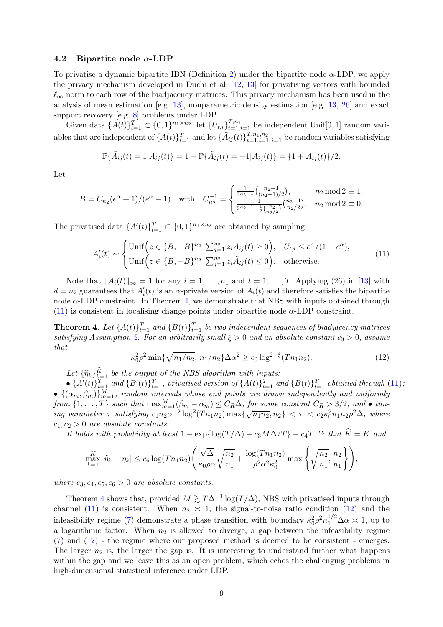#### 4.2 Bipartite node  $\alpha$ -LDP

To privatise a dynamic bipartite IBN (Definition [2\)](#page-2-0) under the bipartite node  $\alpha$ -LDP, we apply the privacy mechanism developed in Duchi et al. [\[12](#page-11-11), [13](#page-11-3)] for privatising vectors with bounded  $\ell_{\infty}$  norm to each row of the biadjacency matrices. This privacy mechanism has been used in the analysis of mean estimation [e.g. [13](#page-11-3)], nonparametric density estimation [e.g. [13,](#page-11-3) [26\]](#page-11-14) and exact support recovery [e.g. [8\]](#page-10-8) problems under LDP.

Given data  $\{A(t)\}_{t=1}^T \subset \{0,1\}^{n_1 \times n_2}$ , let  $\{U_{t,i}\}_{t=1,i=1}^{T,n_1}$  be independent Unif $[0,1]$  random variables that are independent of  $\{A(t)\}_{t=1}^T$  and let  $\{\tilde{A}_{ij}(t)\}_{t=1,i=1,j=1}^{T,n_1,n_2}$  be random variables satisfying

$$
\mathbb{P}\{\tilde{A}_{ij}(t) = 1 | A_{ij}(t)\} = 1 - \mathbb{P}\{\tilde{A}_{ij}(t) = -1 | A_{ij}(t)\} = \{1 + A_{ij}(t)\}/2.
$$

Let

$$
B = C_{n_2}(e^{\alpha} + 1)/(e^{\alpha} - 1) \quad \text{with} \quad C_{n_2}^{-1} = \begin{cases} \frac{1}{2^{n_2 - 1}} {n_2 - 1 \choose (n_2 - 1)/2}, & n_2 \mod 2 \equiv 1, \\ \frac{1}{2^{n_2 - 1} + \frac{1}{2} {n_2 \choose n_2/2}} {n_2 - 1 \choose n_2/2}, & n_2 \mod 2 \equiv 0. \end{cases}
$$

The privatised data  $\{A'(t)\}_{t=1}^T \subset \{0,1\}^{n_1 \times n_2}$  are obtained by sampling

<span id="page-8-1"></span>
$$
A'_{i}(t) \sim \begin{cases} \text{Unif}\Big(z \in \{B, -B\}^{n_{2}} | \sum_{j=1}^{n_{2}} z_{i} \tilde{A}_{ij}(t) \ge 0\Big), & U_{t,i} \le e^{\alpha}/(1 + e^{\alpha}), \\ \text{Unif}\Big(z \in \{B, -B\}^{n_{2}} | \sum_{j=1}^{n_{2}} z_{i} \tilde{A}_{ij}(t) \le 0\Big), & \text{otherwise.} \end{cases}
$$
(11)

Note that  $||A_i(t)||_{\infty} = 1$  for any  $i = 1, \ldots, n_1$  and  $t = 1, \ldots, T$ . Applying (26) in [\[13](#page-11-3)] with  $d = n_2$  guarantees that  $A'_i(t)$  is an  $\alpha$ -private version of  $A_i(t)$  and therefore satisfies the bipartite node  $\alpha$ -LDP constraint. In Theorem [4,](#page-8-0) we demonstrate that NBS with inputs obtained through  $(11)$  is consistent in localising change points under bipartite node  $\alpha$ -LDP constraint.

<span id="page-8-0"></span>**Theorem 4.** Let  $\{A(t)\}_{t=1}^T$  and  $\{B(t)\}_{t=1}^T$  be two independent sequences of biadjacency matrices *satisfying Assumption [2.](#page-2-3) For an arbitrarily small*  $\xi > 0$  *and an absolute constant*  $c_0 > 0$ *, assume that*

<span id="page-8-2"></span>
$$
\kappa_0^2 \rho^2 \min\{\sqrt{n_1/n_2}, n_1/n_2\} \Delta \alpha^2 \ge c_0 \log^{2+\xi} (T n_1 n_2). \tag{12}
$$

Let  $\{\widehat{\eta}_k\}_{k=1}^{\widehat{K}}$  *be the output of the NBS algorithm with inputs:* 

 $\bullet$   $\{A'(t)\}_{t=1}^T$  and  $\{B'(t)\}_{t=1}^T$ , privatised version of  $\{A(t)\}_{t=1}^T$  and  $\{B(t)\}_{t=1}^T$  obtained through [\(11\)](#page-8-1);  $\bullet$   $\{(\alpha_m, \beta_m)\}_{m=1}^M$ , random intervals whose end points are drawn independently and uniformly  $from \{1, \ldots, T\}$  such that  $\max_{m=1}^{M} (\beta_m - \alpha_m) \leq C_R \Delta$ , for some constant  $C_R > 3/2$ ; and  $\bullet$  tun- $\int \lim_{n \to \infty} \frac{1}{2} \log^2 (T n_1 n_2) \max \{ \sqrt{n_1 n_2}, n_2 \} < \tau < c_2 \kappa_0^2 n_1 n_2 \rho^2 \Delta$ , where  $c_1, c_2 > 0$  *are absolute constants.* 

*It holds with probability at least*  $1 - \exp{\log(T/\Delta) - c_3 M\Delta/T} - c_4 T^{-c_5}$  *that*  $\hat{K} = K$  *and* 

$$
\max_{k=1}^{K} |\widehat{\eta}_k - \eta_k| \le c_6 \log(Tn_1n_2) \left( \frac{\sqrt{\Delta}}{\kappa_0 \rho \alpha} \sqrt{\frac{n_2}{n_1}} + \frac{\log(Tn_1n_2)}{\rho^2 \alpha^2 \kappa_0^2} \max \left\{ \sqrt{\frac{n_2}{n_1}}, \frac{n_2}{n_1} \right\} \right),
$$

where  $c_3, c_4, c_5, c_6 > 0$  *are absolute constants.* 

Theorem [4](#page-8-0) shows that, provided  $M \gtrsim T\Delta^{-1}\log(T/\Delta)$ , NBS with privatised inputs through channel [\(11\)](#page-8-1) is consistent. When  $n_2 \approx 1$ , the signal-to-noise ratio condition [\(12\)](#page-8-2) and the infeasibility regime [\(7\)](#page-5-2) demonstrate a phase transition with boundary  $\kappa_0^2 \rho^2 n_1^{1/2} \Delta \alpha \approx 1$ , up to a logarithmic factor. When  $n_2$  is allowed to diverge, a gap between the infeasibility regime [\(7\)](#page-5-2) and [\(12\)](#page-8-2) - the regime where our proposed method is deemed to be consistent - emerges. The larger  $n_2$  is, the larger the gap is. It is interesting to understand further what happens within the gap and we leave this as an open problem, which echos the challenging problems in high-dimensional statistical inference under LDP.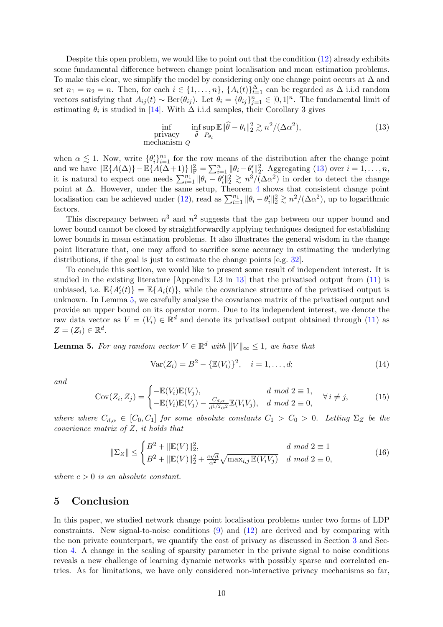Despite this open problem, we would like to point out that the condition [\(12\)](#page-8-2) already exhibits some fundamental difference between change point localisation and mean estimation problems. To make this clear, we simplify the model by considering only one change point occurs at  $\Delta$  and set  $n_1 = n_2 = n$ . Then, for each  $i \in \{1, ..., n\}$ ,  $\{A_i(t)\}_{t=1}^{\Delta}$  can be regarded as  $\Delta$  i.i.d random vectors satisfying that  $A_{ij}(t) \sim \text{Ber}(\theta_{ij})$ . Let  $\theta_i = {\theta_{ij}}_{j=1}^n \in [0,1]^n$ . The fundamental limit of estimating  $\theta_i$  is studied in [\[14](#page-11-6)]. With  $\Delta$  i.i.d samples, their Corollary 3 gives

<span id="page-9-0"></span>
$$
\inf_{\text{privacy}} \inf_{\hat{\theta}} \sup_{P_{\theta_i}} \mathbb{E} \|\hat{\theta} - \theta_i\|_2^2 \gtrsim n^2/(\Delta \alpha^2),\tag{13}
$$
\n
$$
\text{mechanism } Q
$$

when  $\alpha \lesssim 1$ . Now, write  $\{\theta_i'\}_{i=1}^{n_1}$  for the row means of the distribution after the change point when  $\alpha \gtrsim 1$ . Now, write  $\{\theta_i^i\}_{i=1}^{\infty}$  for the row means of the distribution after the change point and we have  $\|\mathbb{E}\{A(\Delta)\}-\mathbb{E}\{A(\Delta+1)\}\|_{\mathcal{F}}^2 = \sum_{i=1}^n \|\theta_i - \theta_i^{\prime}\|_2^2$ . Aggregating [\(13\)](#page-9-0) over  $i = 1, \ldots,$ it is natural to expect one needs  $\sum_{i=1}^{n_1} ||\theta_i - \theta'_i||_2^2 \gtrsim n^3/(\Delta \alpha^2)$  in order to detect the change point at  $\Delta$ . However, under the same setup, Theorem [4](#page-8-0) shows that consistent change point localisation can be achieved under [\(12\)](#page-8-2), read as  $\sum_{i=1}^{n_1} ||\theta_i - \theta'_i||_2^2 \gtrsim n^2/(\Delta \alpha^2)$ , up to logarithmic factors.

This discrepancy between  $n^3$  and  $n^2$  suggests that the gap between our upper bound and lower bound cannot be closed by straightforwardly applying techniques designed for establishing lower bounds in mean estimation problems. It also illustrates the general wisdom in the change point literature that, one may afford to sacrifice some accuracy in estimating the underlying distributions, if the goal is just to estimate the change points [e.g. [32\]](#page-12-11).

To conclude this section, we would like to present some result of independent interest. It is studied in the existing literature [Appendix I.3 in [13\]](#page-11-3) that the privatised output from [\(11\)](#page-8-1) is unbiased, i.e.  $\mathbb{E}\{A'_i(t)\} = \mathbb{E}\{A_i(t)\}$ , while the covariance structure of the privatised output is unknown. In Lemma [5,](#page-9-1) we carefully analyse the covariance matrix of the privatised output and provide an upper bound on its operator norm. Due to its independent interest, we denote the raw data vector as  $V = (V_i) \in \mathbb{R}^d$  and denote its privatised output obtained through [\(11\)](#page-8-1) as  $Z=(Z_i)\in\mathbb{R}^d$ .

<span id="page-9-1"></span>**Lemma 5.** For any random vector  $V \in \mathbb{R}^d$  with  $||V||_{\infty} \leq 1$ , we have that

<span id="page-9-3"></span>
$$
Var(Z_i) = B^2 - {\mathbb{E}(V_i)}^2, \quad i = 1, ..., d; \tag{14}
$$

*and*

<span id="page-9-4"></span>
$$
Cov(Z_i, Z_j) = \begin{cases} -\mathbb{E}(V_i)\mathbb{E}(V_j), & d \mod 2 \equiv 1, \\ -\mathbb{E}(V_i)\mathbb{E}(V_j) - \frac{C_{d,\alpha}}{d^{1/2}\alpha^2}\mathbb{E}(V_iV_j), & d \mod 2 \equiv 0, \end{cases} \forall i \neq j,
$$
(15)

*where where*  $C_{d,\alpha} \in [C_0, C_1]$  *for some absolute constants*  $C_1 > C_0 > 0$ *. Letting*  $\Sigma_Z$  *be the covariance matrix of* Z*, it holds that*

<span id="page-9-2"></span>
$$
\|\Sigma_Z\| \le \begin{cases} B^2 + \|\mathbb{E}(V)\|_2^2, & d \mod 2 \equiv 1\\ B^2 + \|\mathbb{E}(V)\|_2^2 + \frac{c\sqrt{d}}{\alpha^2} \sqrt{\max_{i,j} \mathbb{E}(V_i V_j)} & d \mod 2 \equiv 0, \end{cases}
$$
(16)

*where*  $c > 0$  *is an absolute constant.* 

## 5 Conclusion

In this paper, we studied network change point localisation problems under two forms of LDP constraints. New signal-to-noise conditions [\(9\)](#page-7-2) and [\(12\)](#page-8-2) are derived and by comparing with the non private counterpart, we quantify the cost of privacy as discussed in Section [3](#page-4-4) and Section [4.](#page-6-1) A change in the scaling of sparsity parameter in the private signal to noise conditions reveals a new challenge of learning dynamic networks with possibly sparse and correlated entries. As for limitations, we have only considered non-interactive privacy mechanisms so far,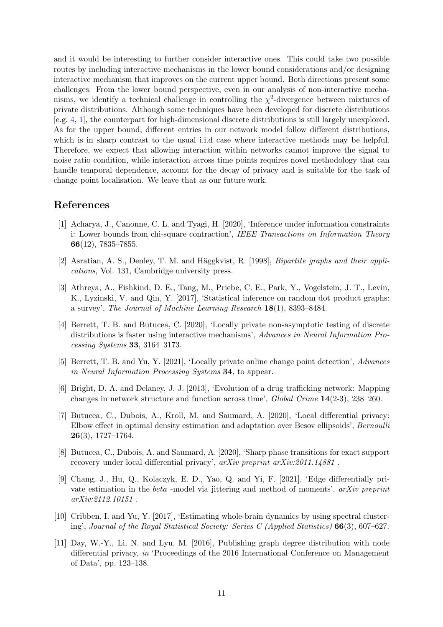and it would be interesting to further consider interactive ones. This could take two possible routes by including interactive mechanisms in the lower bound considerations and/or designing interactive mechanism that improves on the current upper bound. Both directions present some challenges. From the lower bound perspective, even in our analysis of non-interactive mechanisms, we identify a technical challenge in controlling the  $\chi^2$ -divergence between mixtures of private distributions. Although some techniques have been developed for discrete distributions [e.g. [4](#page-10-9), [1\]](#page-10-10), the counterpart for high-dimensional discrete distributions is still largely unexplored. As for the upper bound, different entries in our network model follow different distributions, which is in sharp contrast to the usual i.i.d case where interactive methods may be helpful. Therefore, we expect that allowing interaction within networks cannot improve the signal to noise ratio condition, while interaction across time points requires novel methodology that can handle temporal dependence, account for the decay of privacy and is suitable for the task of change point localisation. We leave that as our future work.

## References

- <span id="page-10-10"></span>[1] Acharya, J., Canonne, C. L. and Tyagi, H. [2020], 'Inference under information constraints i: Lower bounds from chi-square contraction', *IEEE Transactions on Information Theory* 66(12), 7835–7855.
- <span id="page-10-4"></span>[2] Asratian, A. S., Denley, T. M. and Häggkvist, R. [1998], *Bipartite graphs and their applications*, Vol. 131, Cambridge university press.
- <span id="page-10-3"></span>[3] Athreya, A., Fishkind, D. E., Tang, M., Priebe, C. E., Park, Y., Vogelstein, J. T., Levin, K., Lyzinski, V. and Qin, Y. [2017], 'Statistical inference on random dot product graphs: a survey', *The Journal of Machine Learning Research* 18(1), 8393–8484.
- <span id="page-10-9"></span>[4] Berrett, T. B. and Butucea, C. [2020], 'Locally private non-asymptotic testing of discrete distributions is faster using interactive mechanisms', *Advances in Neural Information Processing Systems* 33, 3164–3173.
- <span id="page-10-5"></span>[5] Berrett, T. B. and Yu, Y. [2021], 'Locally private online change point detection', *Advances in Neural Information Processing Systems* 34, to appear.
- <span id="page-10-1"></span>[6] Bright, D. A. and Delaney, J. J. [2013], 'Evolution of a drug trafficking network: Mapping changes in network structure and function across time', *Global Crime* 14(2-3), 238–260.
- <span id="page-10-7"></span>[7] Butucea, C., Dubois, A., Kroll, M. and Saumard, A. [2020], 'Local differential privacy: Elbow effect in optimal density estimation and adaptation over Besov ellipsoids', *Bernoulli*  $26(3)$ , 1727–1764.
- <span id="page-10-8"></span>[8] Butucea, C., Dubois, A. and Saumard, A. [2020], 'Sharp phase transitions for exact support recovery under local differential privacy', *arXiv preprint arXiv:2011.14881* .
- <span id="page-10-0"></span>[9] Chang, J., Hu, Q., Kolaczyk, E. D., Yao, Q. and Yi, F. [2021], 'Edge differentially private estimation in the beta -model via jittering and method of moments', *arXiv preprint arXiv:2112.10151* .
- <span id="page-10-2"></span>[10] Cribben, I. and Yu, Y. [2017], 'Estimating whole-brain dynamics by using spectral clustering', *Journal of the Royal Statistical Society: Series C (Applied Statistics)* 66(3), 607–627.
- <span id="page-10-6"></span>[11] Day, W.-Y., Li, N. and Lyu, M. [2016], Publishing graph degree distribution with node differential privacy, *in* 'Proceedings of the 2016 International Conference on Management of Data', pp. 123–138.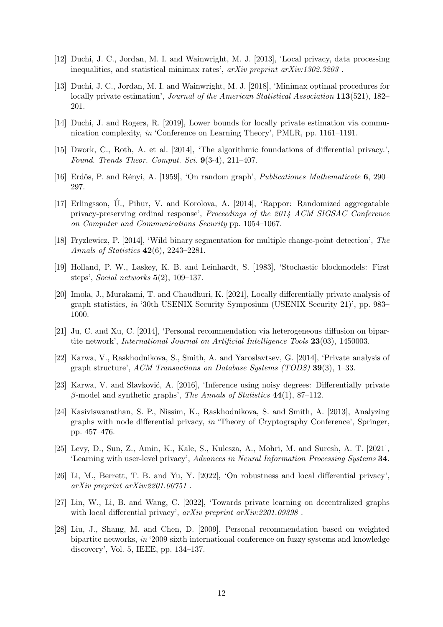- <span id="page-11-11"></span>[12] Duchi, J. C., Jordan, M. I. and Wainwright, M. J. [2013], 'Local privacy, data processing inequalities, and statistical minimax rates', *arXiv preprint arXiv:1302.3203* .
- <span id="page-11-3"></span>[13] Duchi, J. C., Jordan, M. I. and Wainwright, M. J. [2018], 'Minimax optimal procedures for locally private estimation', *Journal of the American Statistical Association* 113(521), 182– 201.
- <span id="page-11-6"></span>[14] Duchi, J. and Rogers, R. [2019], Lower bounds for locally private estimation via communication complexity, *in* 'Conference on Learning Theory', PMLR, pp. 1161–1191.
- <span id="page-11-15"></span>[15] Dwork, C., Roth, A. et al. [2014], 'The algorithmic foundations of differential privacy.', *Found. Trends Theor. Comput. Sci.* 9(3-4), 211–407.
- <span id="page-11-7"></span>[16] Erd¨os, P. and R´enyi, A. [1959], 'On random graph', *Publicationes Mathematicate* 6, 290– 297.
- <span id="page-11-4"></span>[17] Erlingsson, U., Pihur, V. and Korolova, A. [2014], 'Rappor: Randomized aggregatable privacy-preserving ordinal response', *Proceedings of the 2014 ACM SIGSAC Conference on Computer and Communications Security* pp. 1054–1067.
- <span id="page-11-16"></span>[18] Fryzlewicz, P. [2014], 'Wild binary segmentation for multiple change-point detection', *The Annals of Statistics* 42(6), 2243–2281.
- <span id="page-11-8"></span>[19] Holland, P. W., Laskey, K. B. and Leinhardt, S. [1983], 'Stochastic blockmodels: First steps', *Social networks* 5(2), 109–137.
- <span id="page-11-12"></span>[20] Imola, J., Murakami, T. and Chaudhuri, K. [2021], Locally differentially private analysis of graph statistics, *in* '30th USENIX Security Symposium (USENIX Security 21)', pp. 983– 1000.
- <span id="page-11-10"></span>[21] Ju, C. and Xu, C. [2014], 'Personal recommendation via heterogeneous diffusion on bipartite network', *International Journal on Artificial Intelligence Tools* 23(03), 1450003.
- <span id="page-11-0"></span>[22] Karwa, V., Raskhodnikova, S., Smith, A. and Yaroslavtsev, G. [2014], 'Private analysis of graph structure', *ACM Transactions on Database Systems (TODS)* 39(3), 1–33.
- <span id="page-11-1"></span>[23] Karwa, V. and Slavković, A. [2016], 'Inference using noisy degrees: Differentially private β-model and synthetic graphs', *The Annals of Statistics* 44(1), 87–112.
- <span id="page-11-2"></span>[24] Kasiviswanathan, S. P., Nissim, K., Raskhodnikova, S. and Smith, A. [2013], Analyzing graphs with node differential privacy, *in* 'Theory of Cryptography Conference', Springer, pp. 457–476.
- <span id="page-11-13"></span>[25] Levy, D., Sun, Z., Amin, K., Kale, S., Kulesza, A., Mohri, M. and Suresh, A. T. [2021], 'Learning with user-level privacy', *Advances in Neural Information Processing Systems* 34.
- <span id="page-11-14"></span>[26] Li, M., Berrett, T. B. and Yu, Y. [2022], 'On robustness and local differential privacy', *arXiv preprint arXiv:2201.00751* .
- <span id="page-11-5"></span>[27] Lin, W., Li, B. and Wang, C. [2022], 'Towards private learning on decentralized graphs with local differential privacy', *arXiv preprint arXiv:2201.09398* .
- <span id="page-11-9"></span>[28] Liu, J., Shang, M. and Chen, D. [2009], Personal recommendation based on weighted bipartite networks, *in* '2009 sixth international conference on fuzzy systems and knowledge discovery', Vol. 5, IEEE, pp. 134–137.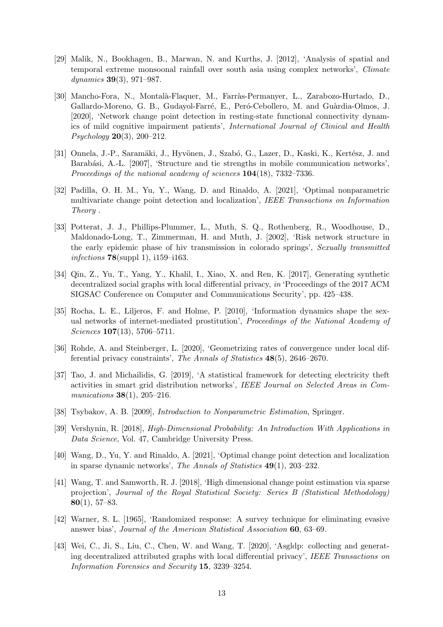- <span id="page-12-6"></span>[29] Malik, N., Bookhagen, B., Marwan, N. and Kurths, J. [2012], 'Analysis of spatial and temporal extreme monsoonal rainfall over south asia using complex networks', *Climate dynamics* 39(3), 971–987.
- <span id="page-12-7"></span>[30] Mancho-Fora, N., Montal`a-Flaquer, M., Farr`as-Permanyer, L., Zarabozo-Hurtado, D., Gallardo-Moreno, G. B., Gudayol-Farré, E., Peró-Cebollero, M. and Guàrdia-Olmos, J. [2020], 'Network change point detection in resting-state functional connectivity dynamics of mild cognitive impairment patients', *International Journal of Clinical and Health Psychology* 20(3), 200–212.
- <span id="page-12-1"></span>[31] Onnela, J.-P., Saramäki, J., Hyvönen, J., Szabó, G., Lazer, D., Kaski, K., Kertész, J. and Barabási, A.-L. [2007], 'Structure and tie strengths in mobile communication networks', *Proceedings of the national academy of sciences* 104(18), 7332–7336.
- <span id="page-12-11"></span>[32] Padilla, O. H. M., Yu, Y., Wang, D. and Rinaldo, A. [2021], 'Optimal nonparametric multivariate change point detection and localization', *IEEE Transactions on Information Theory* .
- <span id="page-12-0"></span>[33] Potterat, J. J., Phillips-Plummer, L., Muth, S. Q., Rothenberg, R., Woodhouse, D., Maldonado-Long, T., Zimmerman, H. and Muth, J. [2002], 'Risk network structure in the early epidemic phase of hiv transmission in colorado springs', *Sexually transmitted infections* 78(suppl 1), i159–i163.
- <span id="page-12-3"></span>[34] Qin, Z., Yu, T., Yang, Y., Khalil, I., Xiao, X. and Ren, K. [2017], Generating synthetic decentralized social graphs with local differential privacy, *in* 'Proceedings of the 2017 ACM SIGSAC Conference on Computer and Communications Security', pp. 425–438.
- <span id="page-12-10"></span>[35] Rocha, L. E., Liljeros, F. and Holme, P. [2010], 'Information dynamics shape the sexual networks of internet-mediated prostitution', *Proceedings of the National Academy of Sciences* 107(13), 5706–5711.
- <span id="page-12-9"></span>[36] Rohde, A. and Steinberger, L. [2020], 'Geometrizing rates of convergence under local differential privacy constraints', *The Annals of Statistics* 48(5), 2646–2670.
- <span id="page-12-4"></span>[37] Tao, J. and Michailidis, G. [2019], 'A statistical framework for detecting electricity theft activities in smart grid distribution networks', *IEEE Journal on Selected Areas in Communications* 38(1), 205–216.
- <span id="page-12-12"></span>[38] Tsybakov, A. B. [2009], *Introduction to Nonparametric Estimation*, Springer.
- <span id="page-12-13"></span>[39] Vershynin, R. [2018], *High-Dimensional Probability: An Introduction With Applications in Data Science*, Vol. 47, Cambridge University Press.
- <span id="page-12-5"></span>[40] Wang, D., Yu, Y. and Rinaldo, A. [2021], 'Optimal change point detection and localization in sparse dynamic networks', *The Annals of Statistics* 49(1), 203–232.
- <span id="page-12-14"></span>[41] Wang, T. and Samworth, R. J. [2018], 'High dimensional change point estimation via sparse projection', *Journal of the Royal Statistical Society: Series B (Statistical Methodology)*  $80(1), 57-83.$
- <span id="page-12-8"></span>[42] Warner, S. L. [1965], 'Randomized response: A survey technique for eliminating evasive answer bias', *Journal of the American Statistical Association* 60, 63–69.
- <span id="page-12-2"></span>[43] Wei, C., Ji, S., Liu, C., Chen, W. and Wang, T. [2020], 'Asgldp: collecting and generating decentralized attributed graphs with local differential privacy', *IEEE Transactions on Information Forensics and Security* 15, 3239–3254.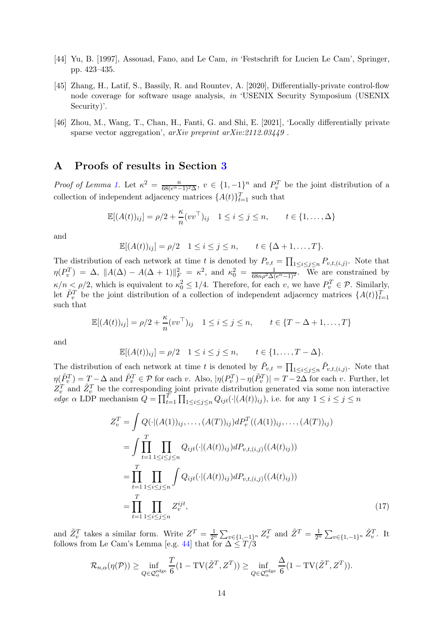- <span id="page-13-2"></span>[44] Yu, B. [1997], Assouad, Fano, and Le Cam, *in* 'Festschrift for Lucien Le Cam', Springer, pp. 423–435.
- <span id="page-13-0"></span>[45] Zhang, H., Latif, S., Bassily, R. and Rountev, A. [2020], Differentially-private control-flow node coverage for software usage analysis, *in* 'USENIX Security Symposium (USENIX Security)'.
- <span id="page-13-1"></span>[46] Zhou, M., Wang, T., Chan, H., Fanti, G. and Shi, E. [2021], 'Locally differentially private sparse vector aggregation', *arXiv preprint arXiv:2112.03449* .

## A Proofs of results in Section [3](#page-4-4)

*Proof of Lemma [1.](#page-4-2)* Let  $\kappa^2 = \frac{n}{68(e^{\alpha}-1)^2\Delta}$ ,  $v \in \{1,-1\}^n$  and  $P_v^T$  be the joint distribution of a collection of independent adjacency matrices  $\{A(t)\}_{t=1}^T$  such that

$$
\mathbb{E}[(A(t))_{ij}] = \rho/2 + \frac{\kappa}{n}(vv^{\top})_{ij} \quad 1 \le i \le j \le n, \qquad t \in \{1, ..., \Delta\}
$$

and

$$
\mathbb{E}[(A(t))_{ij}] = \rho/2 \quad 1 \leq i \leq j \leq n, \qquad t \in \{\Delta + 1, \ldots, T\}.
$$

The distribution of each network at time t is denoted by  $P_{v,t} = \prod_{1 \leq i \leq j \leq n} P_{v,t,(i,j)}$ . Note that  $\eta(P_v^T) = \Delta, \ \|A(\Delta) - A(\Delta + 1)\|_F^2 = \kappa^2, \text{ and } \kappa_0^2 = \frac{1}{68n\rho^2\Delta(e^{\alpha} - 1)^2}.$  We are constrained by  $\kappa/n \leq \rho/2$ , which is equivalent to  $\kappa_0^2 \leq 1/4$ . Therefore, for each v, we have  $P_v^T \in \mathcal{P}$ . Similarly, let  $\tilde{P}_v^T$  be the joint distribution of a collection of independent adjacency matrices  $\{A(t)\}_{t=1}^T$ such that

$$
\mathbb{E}[(A(t))_{ij}] = \rho/2 + \frac{\kappa}{n}(vv^{\top})_{ij} \quad 1 \le i \le j \le n, \qquad t \in \{T - \Delta + 1, \dots, T\}
$$

and

$$
\mathbb{E}[(A(t))_{ij}] = \rho/2 \quad 1 \leq i \leq j \leq n, \qquad t \in \{1, \ldots, T - \Delta\}.
$$

The distribution of each network at time t is denoted by  $\tilde{P}_{v,t} = \prod_{1 \leq i \leq j \leq n} \tilde{P}_{v,t,(i,j)}$ . Note that  $\eta(\tilde{P}_v^T) = T - \Delta$  and  $\tilde{P}_v^T \in \mathcal{P}$  for each v. Also,  $|\eta(P_v^T) - \eta(\tilde{P}_v^T)| = T - 2\Delta$  for each v. Further, let  $Z_v^T$  and  $\tilde{Z}_v^T$  be the corresponding joint private distribution generated via some non interactive *edge*  $\alpha$  LDP mechanism  $Q = \prod_{t=1}^{T} \prod_{1 \leq i \leq j \leq n} Q_{ijt}(\cdot | (A(t))_{ij})$ , i.e. for any  $1 \leq i \leq j \leq n$ 

<span id="page-13-3"></span>
$$
Z_v^T = \int Q(\cdot | (A(1))_{ij}, \dots, (A(T))_{ij}) dP_v^T((A(1))_{ij}, \dots, (A(T))_{ij})
$$
  
\n
$$
= \int \prod_{t=1}^T \prod_{1 \le i \le j \le n} Q_{ijt}(\cdot | (A(t))_{ij}) dP_{v,t,(i,j)}((A(t)_{ij}))
$$
  
\n
$$
= \prod_{t=1}^T \prod_{1 \le i \le j \le n} \int Q_{ijt}(\cdot | (A(t))_{ij}) dP_{v,t,(i,j)}((A(t)_{ij}))
$$
  
\n
$$
= \prod_{t=1}^T \prod_{1 \le i \le j \le n} Z_v^{ijt}, \qquad (17)
$$

and  $\tilde{Z}_v^T$  takes a similar form. Write  $Z^T = \frac{1}{2^n} \sum_{v \in \{1, -1\}^n} Z_v^T$  and  $\tilde{Z}^T = \frac{1}{2^n} \sum_{v \in \{1, -1\}^n} \tilde{Z}_v^T$ . It follows from Le Cam's Lemma [e.g. [44](#page-13-2)] that for  $\Delta \leq T/3$ 

$$
\mathcal{R}_{n,\alpha}(\eta(\mathcal{P})) \ge \inf_{Q \in \mathcal{Q}_{\alpha}^{\text{edge}}} \frac{T}{6} (1 - \text{TV}(\tilde{Z}^T, Z^T)) \ge \inf_{Q \in \mathcal{Q}_{\alpha}^{\text{edge}}} \frac{\Delta}{6} (1 - \text{TV}(\tilde{Z}^T, Z^T)).
$$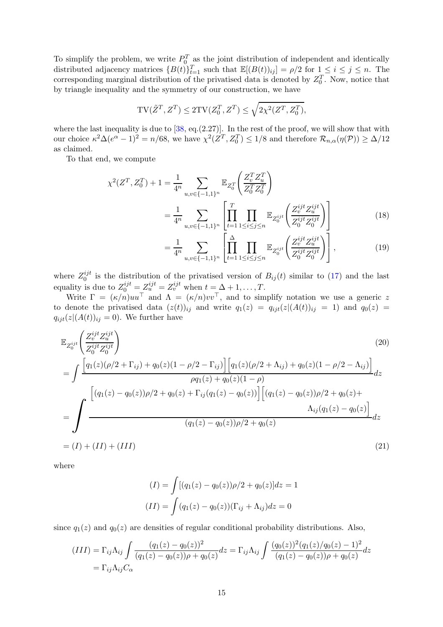To simplify the problem, we write  $P_0^T$  as the joint distribution of independent and identically distributed adjacency matrices  ${B(t)}_{t=1}^T$  such that  $\mathbb{E}[(B(t))_{ij}] = \rho/2$  for  $1 \le i \le j \le n$ . The corresponding marginal distribution of the privatised data is denoted by  $Z_0^T$ . Now, notice that by triangle inequality and the symmetry of our construction, we have

$$
\mathrm{TV}(\tilde{Z}^T,Z^T) \leq 2 \mathrm{TV}(Z_0^T,Z^T) \leq \sqrt{2 \chi^2(Z^T,Z_0^T)},
$$

where the last inequality is due to  $[38, \text{eq.}(2.27)]$ . In the rest of the proof, we will show that with our choice  $\kappa^2 \Delta (e^{\alpha} - 1)^2 = n/68$ , we have  $\chi^2(Z^T, Z_0^T) \le 1/8$  and therefore  $\mathcal{R}_{n,\alpha}(\eta(\mathcal{P})) \ge \Delta/12$ as claimed.

To that end, we compute

$$
\chi^{2}(Z^{T}, Z_{0}^{T}) + 1 = \frac{1}{4^{n}} \sum_{u,v \in \{-1,1\}^{n}} \mathbb{E}_{Z_{0}^{T}}\left(\frac{Z_{v}^{T} Z_{u}^{T}}{Z_{0}^{T} Z_{0}^{T}}\right)
$$

$$
= \frac{1}{4^{n}} \sum_{u,v \in \{-1,1\}^{n}} \left[\prod_{t=1}^{T} \prod_{1 \leq i \leq j \leq n} \mathbb{E}_{Z_{0}^{ijt}}\left(\frac{Z_{v}^{ijt} Z_{u}^{ijt}}{Z_{0}^{ijt} Z_{0}^{ijt}}\right)\right]
$$
(18)

<span id="page-14-1"></span><span id="page-14-0"></span>
$$
=\frac{1}{4^n}\sum_{u,v\in\{-1,1\}^n}\left[\prod_{t=1}^{\Delta}\prod_{1\leq i\leq j\leq n}\mathbb{E}_{Z_0^{ijt}}\left(\frac{Z_v^{ijt}Z_u^{ijt}}{Z_0^{ijt}Z_0^{ijt}}\right)\right],\tag{19}
$$

where  $Z_0^{ijt}$  $\frac{q_{j}t}{0}$  is the distribution of the privatised version of  $B_{ij}(t)$  similar to [\(17\)](#page-13-3) and the last equality is due to  $Z_0^{ijt} = Z_u^{ijt} = Z_v^{ijt}$  when  $t = \Delta + 1, \ldots, T$ .

Write  $\Gamma = (\kappa/n)uu^{\dagger}$  and  $\Lambda = (\kappa/n)vv^{\dagger}$ , and to simplify notation we use a generic z to denote the privatised data  $(z(t))_{ij}$  and write  $q_1(z) = q_{ijt}(z|(A(t))_{ij} = 1)$  and  $q_0(z) =$  $q_{ijt}(z|(A(t))_{ij} = 0)$ . We further have

$$
\mathbb{E}_{Z_0^{ijt}}\left(\frac{Z_v^{ijt}Z_u^{ijt}}{Z_0^{ijt}Z_0^{ijt}}\right)
$$
\n
$$
= \int \frac{\left[q_1(z)(\rho/2 + \Gamma_{ij}) + q_0(z)(1 - \rho/2 - \Gamma_{ij})\right] \left[q_1(z)(\rho/2 + \Lambda_{ij}) + q_0(z)(1 - \rho/2 - \Lambda_{ij})\right]}{\rho q_1(z) + q_0(z)(1 - \rho)} dz
$$
\n
$$
= \int \frac{\left[(q_1(z) - q_0(z))\rho/2 + q_0(z) + \Gamma_{ij}(q_1(z) - q_0(z))\right] \left[(q_1(z) - q_0(z))\rho/2 + q_0(z) + \Lambda_{ij}(q_1(z) - q_0(z))\right]}{(q_1(z) - q_0(z))\rho/2 + q_0(z)} dz
$$
\n
$$
= (I) + (II) + (III) \tag{21}
$$

where

$$
(I) = \int [(q_1(z) - q_0(z))\rho/2 + q_0(z)]dz = 1
$$

$$
(II) = \int (q_1(z) - q_0(z))(\Gamma_{ij} + \Lambda_{ij})dz = 0
$$

since  $q_1(z)$  and  $q_0(z)$  are densities of regular conditional probability distributions. Also,

$$
(III) = \Gamma_{ij}\Lambda_{ij} \int \frac{(q_1(z) - q_0(z))^2}{(q_1(z) - q_0(z))\rho + q_0(z)} dz = \Gamma_{ij}\Lambda_{ij} \int \frac{(q_0(z))^2 (q_1(z)/q_0(z) - 1)^2}{(q_1(z) - q_0(z))\rho + q_0(z)} dz
$$
  
=  $\Gamma_{ij}\Lambda_{ij}C_{\alpha}$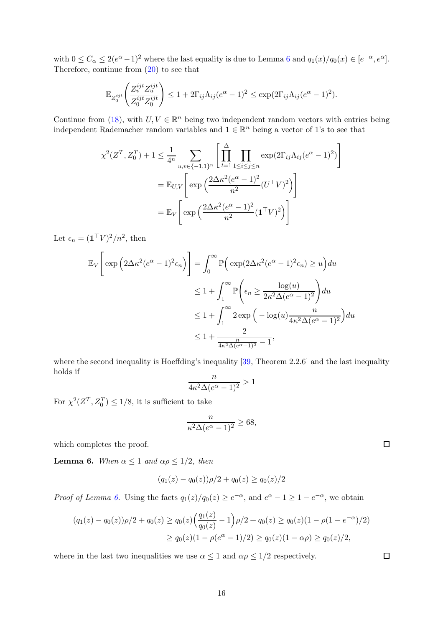with  $0 \leq C_{\alpha} \leq 2(e^{\alpha}-1)^2$  where the last equality is due to Lemma [6](#page-15-0) and  $q_1(x)/q_0(x) \in [e^{-\alpha}, e^{\alpha}]$ . Therefore, continue from [\(20\)](#page-14-0) to see that

$$
\mathbb{E}_{Z_0^{ijt}}\left(\frac{Z_v^{ijt}Z_u^{ijt}}{Z_0^{ijt}Z_0^{ijt}}\right) \leq 1 + 2\Gamma_{ij}\Lambda_{ij}(e^{\alpha} - 1)^2 \leq \exp(2\Gamma_{ij}\Lambda_{ij}(e^{\alpha} - 1)^2).
$$

Continue from [\(18\)](#page-14-1), with  $U, V \in \mathbb{R}^n$  being two independent random vectors with entries being independent Rademacher random variables and  $\mathbf{1} \in \mathbb{R}^n$  being a vector of 1's to see that

$$
\chi^2(Z^T, Z_0^T) + 1 \le \frac{1}{4^n} \sum_{u,v \in \{-1,1\}^n} \left[ \prod_{t=1}^{\Delta} \prod_{1 \le i \le j \le n} \exp(2\Gamma_{ij}\Lambda_{ij}(e^{\alpha} - 1)^2) \right]
$$

$$
= \mathbb{E}_{U,V} \left[ \exp\left(\frac{2\Delta\kappa^2(e^{\alpha} - 1)^2}{n^2} (U^{\top}V)^2\right) \right]
$$

$$
= \mathbb{E}_V \left[ \exp\left(\frac{2\Delta\kappa^2(e^{\alpha} - 1)^2}{n^2} (\mathbf{1}^{\top}V)^2\right) \right]
$$

Let  $\epsilon_n = (\mathbf{1}^\top V)^2/n^2$ , then

$$
\mathbb{E}_{V} \left[ \exp \left( 2\Delta \kappa^{2} (e^{\alpha} - 1)^{2} \epsilon_{n} \right) \right] = \int_{0}^{\infty} \mathbb{P} \left( \exp(2\Delta \kappa^{2} (e^{\alpha} - 1)^{2} \epsilon_{n}) \ge u \right) du
$$
  

$$
\le 1 + \int_{1}^{\infty} \mathbb{P} \left( \epsilon_{n} \ge \frac{\log(u)}{2\kappa^{2} \Delta(e^{\alpha} - 1)^{2}} \right) du
$$
  

$$
\le 1 + \int_{1}^{\infty} 2 \exp \left( -\log(u) \frac{n}{4\kappa^{2} \Delta(e^{\alpha} - 1)^{2}} \right) du
$$
  

$$
\le 1 + \frac{2}{4\kappa^{2} \Delta(e^{\alpha} - 1)^{2}} - 1,
$$

where the second inequality is Hoeffding's inequality [\[39,](#page-12-13) Theorem 2.2.6] and the last inequality holds if

$$
\frac{n}{4\kappa^2\Delta(e^{\alpha}-1)^2} > 1
$$

For  $\chi^2(Z^T, Z_0^T) \leq 1/8$ , it is sufficient to take

$$
\frac{n}{\kappa^2 \Delta (e^{\alpha} - 1)^2} \ge 68,
$$

<span id="page-15-0"></span>which completes the proof.

**Lemma 6.** *When*  $\alpha \leq 1$  *and*  $\alpha \rho \leq 1/2$ *, then* 

$$
(q_1(z) - q_0(z))\rho/2 + q_0(z) \ge q_0(z)/2
$$

*Proof of Lemma [6.](#page-15-0)* Using the facts  $q_1(z)/q_0(z) \geq e^{-\alpha}$ , and  $e^{\alpha} - 1 \geq 1 - e^{-\alpha}$ , we obtain

$$
(q_1(z) - q_0(z))\rho/2 + q_0(z) \ge q_0(z) \left(\frac{q_1(z)}{q_0(z)} - 1\right) \rho/2 + q_0(z) \ge q_0(z)(1 - \rho(1 - e^{-\alpha})/2)
$$
  
 
$$
\ge q_0(z)(1 - \rho(e^{\alpha} - 1)/2) \ge q_0(z)(1 - \alpha \rho) \ge q_0(z)/2,
$$

where in the last two inequalities we use  $\alpha \leq 1$  and  $\alpha \rho \leq 1/2$  respectively.

 $\Box$ 

 $\Box$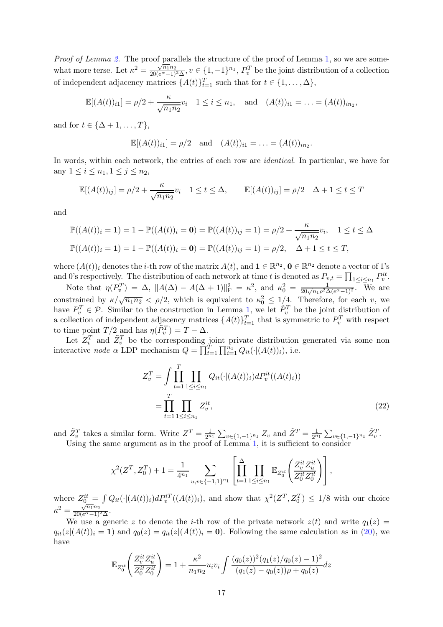*Proof of Lemma [2.](#page-5-1)* The proof parallels the structure of the proof of Lemma [1,](#page-4-2) so we are somewhat more terse. Let  $\kappa^2 = \frac{\sqrt{n_1} n_2}{20 (e^{\alpha} - 1)}$  $\frac{\sqrt{n_1n_2}}{20(e^{\alpha}-1)^2\Delta}$ ,  $v \in \{1,-1\}^{n_1}$ ,  $P_v^T$  be the joint distribution of a collection of independent adjacency matrices  $\{A(t)\}_{t=1}^T$  such that for  $t \in \{1, ..., \Delta\}$ ,

$$
\mathbb{E}[(A(t))_{i1}] = \rho/2 + \frac{\kappa}{\sqrt{n_1 n_2}} v_i \quad 1 \leq i \leq n_1, \text{ and } (A(t))_{i1} = \ldots = (A(t))_{in_2},
$$

and for  $t \in {\Delta + 1, ..., T}$ ,

$$
\mathbb{E}[(A(t))_{i1}] = \rho/2 \text{ and } (A(t))_{i1} = \ldots = (A(t))_{in_2}.
$$

In words, within each network, the entries of each row are *identical*. In particular, we have for any  $1 \le i \le n_1, 1 \le j \le n_2$ ,

$$
\mathbb{E}[(A(t))_{ij}] = \rho/2 + \frac{\kappa}{\sqrt{n_1 n_2}} v_i \quad 1 \le t \le \Delta, \qquad \mathbb{E}[(A(t))_{ij}] = \rho/2 \quad \Delta + 1 \le t \le T
$$

and

$$
\mathbb{P}((A(t))_i = 1) = 1 - \mathbb{P}((A(t))_i = 0) = \mathbb{P}((A(t))_{ij} = 1) = \rho/2 + \frac{\kappa}{\sqrt{n_1 n_2}} v_i, \quad 1 \le t \le \Delta
$$
  

$$
\mathbb{P}((A(t))_i = 1) = 1 - \mathbb{P}((A(t))_i = 0) = \mathbb{P}((A(t))_{ij} = 1) = \rho/2, \quad \Delta + 1 \le t \le T,
$$

where  $(A(t))_i$  denotes the *i*-th row of the matrix  $A(t)$ , and  $\mathbf{1} \in \mathbb{R}^{n_2}$ ,  $\mathbf{0} \in \mathbb{R}^{n_2}$  denote a vector of 1's and 0's respectively. The distribution of each network at time t is denoted as  $P_{v,t} = \prod_{1 \leq i \leq n_1} P_v^{it}$ .

Note that  $\eta(P_v^T) = \Delta$ ,  $||A(\Delta) - A(\Delta + 1)||_F^2 = \kappa^2$ , and  $\kappa_0^2 = \frac{1}{20\sqrt{n_1}\rho^2\Delta(e^{\alpha} - 1)^2}$ . We are constrained by  $\kappa/\sqrt{n_1n_2} < \rho/2$ , which is equivalent to  $\kappa_0^2 \leq 1/4$ . Therefore, for each v, we have  $P_v^T \in \mathcal{P}$ . Similar to the construction in Lemma [1,](#page-4-2) we let  $\tilde{P}_v^T$  be the joint distribution of a collection of independent adjacency matrices  $\{A(t)\}_{t=1}^T$  that is symmetric to  $P_v^T$  with respect to time point  $T/2$  and has  $\eta(\tilde{P}_v^T) = T - \Delta$ .

Let  $Z_v^T$  and  $\tilde{Z}_v^T$  be the corresponding joint private distribution generated via some non interactive *node*  $\alpha$  LDP mechanism  $Q = \prod_{t=1}^{T} \prod_{i=1}^{n_1} Q_{it}(\cdot | (A(t))_i)$ , i.e.

$$
Z_v^T = \int \prod_{t=1}^T \prod_{1 \le i \le n_1} Q_{it}(\cdot | (A(t))_i) dP_v^{it}((A(t)_i))
$$
  
= 
$$
\prod_{t=1}^T \prod_{1 \le i \le n_1} Z_v^{it},
$$
 (22)

and  $\tilde{Z}_{v}^{T}$  takes a similar form. Write  $Z^{T} = \frac{1}{2^{n}}$  $\frac{1}{2^{n_1}}\sum_{v\in\{1,-1\}^{n_1}}Z_v$  and  $\tilde{Z}^T=\frac{1}{2^n}$  $\frac{1}{2^{n_1}}\sum_{v\in\{1,-1\}^{n_1}} \tilde{Z}_v^T.$ Using the same argument as in the proof of Lemma [1,](#page-4-2) it is sufficient to consider

$$
\chi^2(Z^T,Z_0^T)+1=\frac{1}{4^{n_1}}\sum_{u,v\in\{-1,1\}^{n_1}}\left[\prod_{t=1}^{\Delta}\prod_{1\leq i\leq n_1}\mathbb{E}_{Z_0^{it}}\!\left(\frac{Z_v^{it}Z_u^{it}}{Z_0^{it}Z_0^{it}}\right)\right],
$$

where  $Z_0^{it} = \int Q_{it}(\cdot | (A(t))_i) dP_v^{iT}((A(t))_i)$ , and show that  $\chi^2(Z^T, Z_0^T) \leq 1/8$  with our choice  $\kappa^2 = \frac{\sqrt{n_1}n_2}{20(e^{\alpha}-1)}$  $\frac{\sqrt{n_1n_2}}{20(e^{\alpha}-1)^2\Delta}$ .

We use a generic z to denote the *i*-th row of the private network  $z(t)$  and write  $q_1(z)$  =  $q_{it}(z|(A(t))_i = 1)$  and  $q_0(z) = q_{it}(z|(A(t))_i = 0)$ . Following the same calculation as in [\(20\)](#page-14-0), we have

$$
\mathbb{E}_{Z_0^{it}}\left(\frac{Z_v^{it} Z_u^{it}}{Z_0^{it} Z_0^{it}}\right) = 1 + \frac{\kappa^2}{n_1 n_2} u_i v_i \int \frac{(q_0(z))^2 (q_1(z)/q_0(z) - 1)^2}{(q_1(z) - q_0(z))\rho + q_0(z)} dz
$$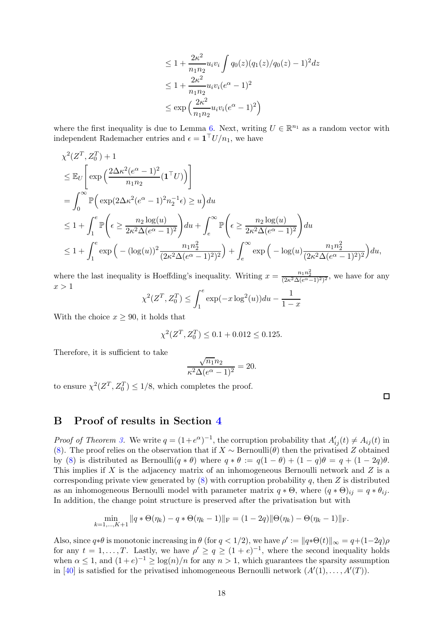$$
\leq 1 + \frac{2\kappa^2}{n_1 n_2} u_i v_i \int q_0(z) (q_1(z)/q_0(z) - 1)^2 dz
$$
  
\n
$$
\leq 1 + \frac{2\kappa^2}{n_1 n_2} u_i v_i (e^{\alpha} - 1)^2
$$
  
\n
$$
\leq \exp\left(\frac{2\kappa^2}{n_1 n_2} u_i v_i (e^{\alpha} - 1)^2\right)
$$

where the first inequality is due to Lemma [6.](#page-15-0) Next, writing  $U \in \mathbb{R}^{n_1}$  as a random vector with independent Rademacher entries and  $\epsilon = \mathbf{1}^\top U/n_1$ , we have

$$
\chi^2(Z^T, Z_0^T) + 1
$$
\n
$$
\leq \mathbb{E}_U \left[ \exp\left(\frac{2\Delta\kappa^2 (e^{\alpha} - 1)^2}{n_1 n_2} (\mathbf{1}^T U)\right) \right]
$$
\n
$$
= \int_0^\infty \mathbb{P}\left(\exp\left(2\Delta\kappa^2 (e^{\alpha} - 1)^2 n_2^{-1} \epsilon\right) \geq u\right) du
$$
\n
$$
\leq 1 + \int_1^e \mathbb{P}\left(\epsilon \geq \frac{n_2 \log(u)}{2\kappa^2 \Delta(e^{\alpha} - 1)^2}\right) du + \int_e^\infty \mathbb{P}\left(\epsilon \geq \frac{n_2 \log(u)}{2\kappa^2 \Delta(e^{\alpha} - 1)^2}\right) du
$$
\n
$$
\leq 1 + \int_1^e \exp\left(-(\log(u))^2 \frac{n_1 n_2^2}{(2\kappa^2 \Delta(e^{\alpha} - 1)^2)^2}\right) + \int_e^\infty \exp\left(-\log(u) \frac{n_1 n_2^2}{(2\kappa^2 \Delta(e^{\alpha} - 1)^2)^2}\right) du,
$$

where the last inequality is Hoeffding's inequality. Writing  $x = \frac{n_1 n_2^2}{(2\kappa^2 \Delta (e^{\alpha} - 1)^2)^2}$ , we have for any  $x > 1$ 

$$
\chi^2(Z^T, Z_0^T) \le \int_1^e \exp(-x \log^2(u)) du - \frac{1}{1-x}
$$

With the choice  $x \geq 90$ , it holds that

$$
\chi^2(Z^T, Z_0^T) \le 0.1 + 0.012 \le 0.125.
$$

Therefore, it is sufficient to take

$$
\frac{\sqrt{n_1}n_2}{\kappa^2\Delta(e^{\alpha}-1)^2} = 20.
$$

to ensure  $\chi^2(Z^T, Z_0^T) \leq 1/8$ , which completes the proof.

# B Proof of results in Section [4](#page-6-1)

*Proof of Theorem [3.](#page-7-0)* We write  $q = (1 + e^{\alpha})^{-1}$ , the corruption probability that  $A'_{ij}(t) \neq A_{ij}(t)$  in [\(8\)](#page-7-1). The proof relies on the observation that if  $X \sim \text{Bernoulli}(\theta)$  then the privatised Z obtained by [\(8\)](#page-7-1) is distributed as Bernoulli $(q * \theta)$  where  $q * \theta := q(1 - \theta) + (1 - q)\theta = q + (1 - 2q)\theta$ . This implies if X is the adjacency matrix of an inhomogeneous Bernoulli network and  $Z$  is a corresponding private view generated by  $(8)$  with corruption probability q, then Z is distributed as an inhomogeneous Bernoulli model with parameter matrix  $q * \Theta$ , where  $(q * \Theta)_{ij} = q * \theta_{ij}$ . In addition, the change point structure is preserved after the privatisation but with

$$
\min_{k=1,\dots,K+1} \|q * \Theta(\eta_k) - q * \Theta(\eta_k - 1)\|_{\mathcal{F}} = (1 - 2q) \|\Theta(\eta_k) - \Theta(\eta_k - 1)\|_{\mathcal{F}}.
$$

Also, since  $q * \theta$  is monotonic increasing in  $\theta$  (for  $q < 1/2$ ), we have  $\rho' := ||q * \Theta(t)||_{\infty} = q + (1-2q)\rho$ for any  $t = 1, ..., T$ . Lastly, we have  $\rho' \ge q \ge (1 + e)^{-1}$ , where the second inequality holds when  $\alpha \leq 1$ , and  $(1+e)^{-1} \geq \log(n)/n$  for any  $n > 1$ , which guarantees the sparsity assumption in [\[40\]](#page-12-5) is satisfied for the privatised inhomogeneous Bernoulli network  $(A'(1),...,A'(T))$ .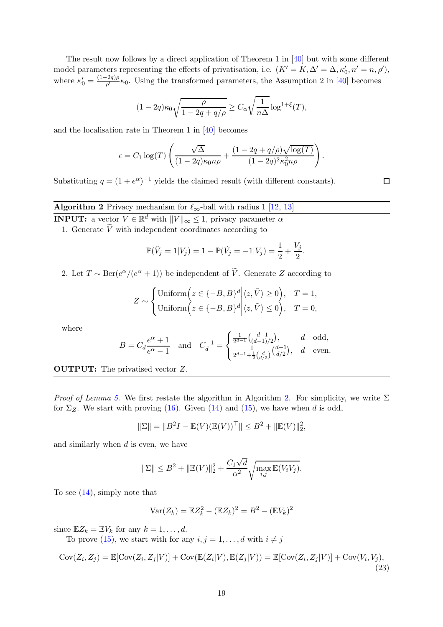The result now follows by a direct application of Theorem 1 in [\[40](#page-12-5)] but with some different model parameters representing the effects of privatisation, i.e.  $(K' = K, \Delta' = \Delta, \kappa'_0, n' = n, \rho'),$ where  $\kappa'_0 = \frac{(1-2q)\rho}{\rho'}\kappa_0$ . Using the transformed parameters, the Assumption 2 in [\[40](#page-12-5)] becomes

$$
(1 - 2q)\kappa_0 \sqrt{\frac{\rho}{1 - 2q + q/\rho}} \ge C_\alpha \sqrt{\frac{1}{n\Delta}} \log^{1+\xi}(T),
$$

and the localisation rate in Theorem 1 in [\[40](#page-12-5)] becomes

$$
\epsilon = C_1 \log(T) \left( \frac{\sqrt{\Delta}}{(1 - 2q)\kappa_0 n \rho} + \frac{(1 - 2q + q/\rho)\sqrt{\log(T)}}{(1 - 2q)^2 \kappa_0^2 n \rho} \right)
$$

<span id="page-18-0"></span>Substituting  $q = (1 + e^{\alpha})^{-1}$  yields the claimed result (with different constants).

 $\Box$ 

.

# **Algorithm 2** Privacy mechanism for  $\ell_{\infty}$ -ball with radius 1 [\[12](#page-11-11), [13](#page-11-3)]

**INPUT:** a vector  $V \in \mathbb{R}^d$  with  $||V||_{\infty} \leq 1$ , privacy parameter  $\alpha$ 

1. Generate  $\widetilde{V}$  with independent coordinates according to

$$
\mathbb{P}(\tilde{V}_j = 1 | V_j) = 1 - \mathbb{P}(\tilde{V}_j = -1 | V_j) = \frac{1}{2} + \frac{V_j}{2}.
$$

2. Let  $T \sim \text{Ber}(e^{\alpha}/(e^{\alpha}+1))$  be independent of  $\tilde{V}$ . Generate Z according to

$$
Z \sim \begin{cases} \text{Uniform}\Big(z \in \{-B, B\}^d \Big| \langle z, \tilde{V} \rangle \ge 0\Big), & T = 1, \\ \text{Uniform}\Big(z \in \{-B, B\}^d \Big| \langle z, \tilde{V} \rangle \le 0\Big), & T = 0, \end{cases}
$$

where

$$
B = C_d \frac{e^{\alpha} + 1}{e^{\alpha} - 1} \quad \text{and} \quad C_d^{-1} = \begin{cases} \frac{1}{2^{d-1}} {d-1 \choose (d-1)/2}, & d \quad \text{odd}, \\ \frac{1}{2^{d-1} + \frac{1}{2} {d \choose d/2}}, & d \quad \text{even}. \end{cases}
$$

OUTPUT: The privatised vector Z.

*Proof of Lemma [5.](#page-9-1)* We first restate the algorithm in Algorithm [2.](#page-18-0) For simplicity, we write  $\Sigma$ for  $\Sigma_Z$ . We start with proving [\(16\)](#page-9-2). Given [\(14\)](#page-9-3) and [\(15\)](#page-9-4), we have when d is odd,

$$
\|\Sigma\| = \|B^2 I - \mathbb{E}(V)(\mathbb{E}(V))^{\top}\| \le B^2 + \|\mathbb{E}(V)\|_2^2,
$$

and similarly when d is even, we have

$$
\|\Sigma\| \le B^2 + \|\mathbb{E}(V)\|_2^2 + \frac{C_1\sqrt{d}}{\alpha^2} \sqrt{\max_{i,j} \mathbb{E}(V_i V_j)}.
$$

To see [\(14\)](#page-9-3), simply note that

$$
Var(Z_k) = EZ_k^2 - (EZ_k)^2 = B^2 - (EV_k)^2
$$

since  $\mathbb{E}Z_k = \mathbb{E}V_k$  for any  $k = 1, \ldots, d$ .

To prove [\(15\)](#page-9-4), we start with for any  $i, j = 1, ..., d$  with  $i \neq j$ 

<span id="page-18-1"></span>
$$
Cov(Z_i, Z_j) = \mathbb{E}[\text{Cov}(Z_i, Z_j | V)] + \text{Cov}(\mathbb{E}(Z_i | V), \mathbb{E}(Z_j | V)) = \mathbb{E}[\text{Cov}(Z_i, Z_j | V)] + \text{Cov}(V_i, V_j),
$$
\n(23)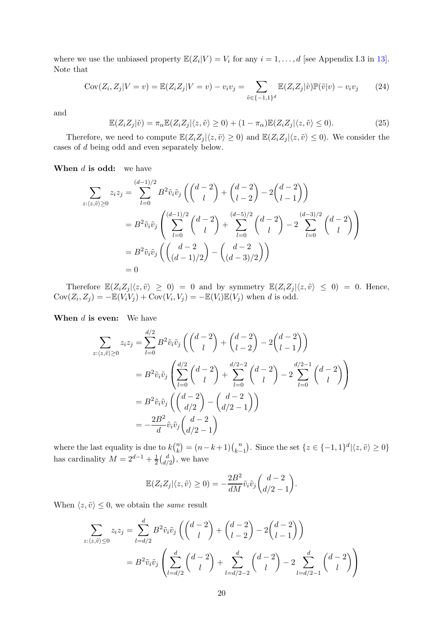where we use the unbiased property  $\mathbb{E}(Z_i|V) = V_i$  for any  $i = 1, ..., d$  [see Appendix I.3 in [13](#page-11-3)]. Note that

<span id="page-19-1"></span>
$$
Cov(Z_i, Z_j | V = v) = \mathbb{E}(Z_i Z_j | V = v) - v_i v_j = \sum_{\tilde{v} \in \{-1, 1\}^d} \mathbb{E}(Z_i Z_j | \tilde{v}) \mathbb{P}(\tilde{v} | v) - v_i v_j \tag{24}
$$

and

<span id="page-19-0"></span>
$$
\mathbb{E}(Z_i Z_j | \tilde{v}) = \pi_\alpha \mathbb{E}(Z_i Z_j | \langle z, \tilde{v} \rangle \ge 0) + (1 - \pi_\alpha) \mathbb{E}(Z_i Z_j | \langle z, \tilde{v} \rangle \le 0).
$$
\n(25)

Therefore, we need to compute  $\mathbb{E}(Z_i Z_j | \langle z, \tilde{v} \rangle \geq 0)$  and  $\mathbb{E}(Z_i Z_j | \langle z, \tilde{v} \rangle \leq 0)$ . We consider the cases of d being odd and even separately below.

When  $d$  is odd: we have

$$
\sum_{z:(z,\tilde{v})\geq 0} z_i z_j = \sum_{l=0}^{(d-1)/2} B^2 \tilde{v}_i \tilde{v}_j \left( \binom{d-2}{l} + \binom{d-2}{l-2} - 2 \binom{d-2}{l-1} \right)
$$
  
\n
$$
= B^2 \tilde{v}_i \tilde{v}_j \left( \sum_{l=0}^{(d-1)/2} \binom{d-2}{l} + \sum_{l=0}^{(d-5)/2} \binom{d-2}{l} - 2 \sum_{l=0}^{(d-3)/2} \binom{d-2}{l} \right)
$$
  
\n
$$
= B^2 \tilde{v}_i \tilde{v}_j \left( \binom{d-2}{(d-1)/2} - \binom{d-2}{(d-3)/2} \right)
$$
  
\n
$$
= 0
$$

Therefore  $\mathbb{E}(Z_i Z_j | \langle z, \tilde{v} \rangle \geq 0) = 0$  and by symmetry  $\mathbb{E}(Z_i Z_j | \langle z, \tilde{v} \rangle \leq 0) = 0$ . Hence,  $Cov(Z_i, Z_j) = -\mathbb{E}(V_i V_j) + Cov(V_i, V_j) = -\mathbb{E}(V_i)\mathbb{E}(V_j)$  when d is odd.

When  $d$  is even: We have

$$
\sum_{z:(z,\tilde{v})\geq 0} z_i z_j = \sum_{l=0}^{d/2} B^2 \tilde{v}_i \tilde{v}_j \left( \binom{d-2}{l} + \binom{d-2}{l-2} - 2 \binom{d-2}{l-1} \right)
$$
  
=  $B^2 \tilde{v}_i \tilde{v}_j \left( \sum_{l=0}^{d/2} \binom{d-2}{l} + \sum_{l=0}^{d/2-2} \binom{d-2}{l} - 2 \sum_{l=0}^{d/2-1} \binom{d-2}{l} \right)$   
=  $B^2 \tilde{v}_i \tilde{v}_j \left( \binom{d-2}{d/2} - \binom{d-2}{d/2-1} \right)$   
=  $-\frac{2B^2}{d} \tilde{v}_i \tilde{v}_j \binom{d-2}{d/2-1}$ 

where the last equality is due to  $k\binom{n}{k}$  ${k \choose k} = (n-k+1) {n \choose k-1}$  $k-1$ ). Since the set  $\{z \in \{-1,1\}^d | \langle z, \tilde{v} \rangle \ge 0\}$ has cardinality  $M = 2^{d-1} + \frac{1}{2}$  $\frac{1}{2} \binom{d}{d}$  $\binom{d}{d/2}$ , we have

$$
\mathbb{E}(Z_i Z_j | \langle z, \tilde{v} \rangle \ge 0) = -\frac{2B^2}{dM} \tilde{v}_i \tilde{v}_j \binom{d-2}{d/2-1}.
$$

When  $\langle z, \tilde{v} \rangle \leq 0$ , we obtain the *same* result

$$
\sum_{z:(z,\tilde{v})\leq 0} z_i z_j = \sum_{l=d/2}^d B^2 \tilde{v}_i \tilde{v}_j \left( \binom{d-2}{l} + \binom{d-2}{l-2} - 2\binom{d-2}{l-1} \right)
$$
  
=  $B^2 \tilde{v}_i \tilde{v}_j \left( \sum_{l=d/2}^d \binom{d-2}{l} + \sum_{l=d/2-2}^d \binom{d-2}{l} - 2 \sum_{l=d/2-1}^d \binom{d-2}{l} \right)$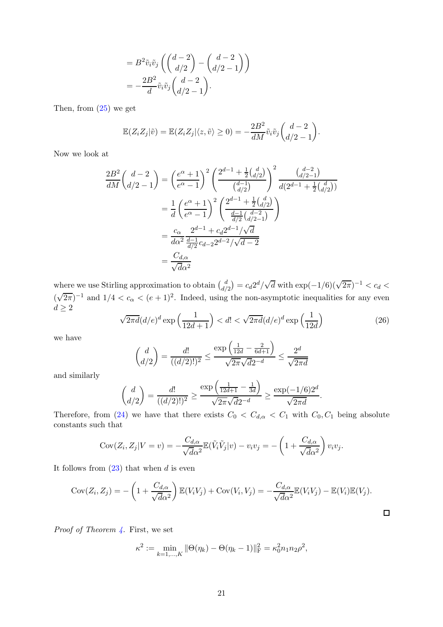$$
= B2 \tilde{v}_i \tilde{v}_j \left( \binom{d-2}{d/2} - \binom{d-2}{d/2-1} \right)
$$
  
= 
$$
- \frac{2B^2}{d} \tilde{v}_i \tilde{v}_j \binom{d-2}{d/2-1}.
$$

Then, from [\(25\)](#page-19-0) we get

$$
\mathbb{E}(Z_i Z_j | \tilde{v}) = \mathbb{E}(Z_i Z_j | \langle z, \tilde{v} \rangle \ge 0) = -\frac{2B^2}{dM} \tilde{v}_i \tilde{v}_j \binom{d-2}{d/2-1}.
$$

Now we look at

$$
\frac{2B^2}{dM} \left( \frac{d-2}{d/2 - 1} \right) = \left( \frac{e^{\alpha} + 1}{e^{\alpha} - 1} \right)^2 \left( \frac{2^{d-1} + \frac{1}{2} {d \choose d/2}}{\binom{d-1}{d/2}} \right)^2 \frac{\binom{d-2}{d/2 - 1}}{d(2^{d-1} + \frac{1}{2} {d \choose d/2})}
$$

$$
= \frac{1}{d} \left( \frac{e^{\alpha} + 1}{e^{\alpha} - 1} \right)^2 \left( \frac{2^{d-1} + \frac{1}{2} {d \choose d/2}}{\frac{d-1}{d/2} {d-2 \choose d/2 - 1}} \right)
$$

$$
= \frac{c_{\alpha}}{d\alpha^2} \frac{2^{d-1} + c_d 2^{d-1} / \sqrt{d}}{\frac{d-1}{d/2} c_{d-2} 2^{d-2} / \sqrt{d-2}}
$$

$$
= \frac{C_{d,\alpha}}{\sqrt{d\alpha^2}}
$$

where we use Stirling approximation to obtain  $\begin{pmatrix} d \\ d \end{pmatrix}$  $\frac{d}{d/2}$  =  $c_d 2^d / \sqrt{d}$  with exp(-1/6)( $\sqrt{2\pi}$ )<sup>-1</sup> <  $c_d$  <  $(\sqrt{2\pi})^{-1}$  and  $1/4 < c_{\alpha} < (e+1)^2$ . Indeed, using the non-asymptotic inequalities for any even

$$
d \ge 2
$$
\n
$$
\sqrt{2\pi d} (d/e)^d \exp\left(\frac{1}{12d+1}\right) < d! < \sqrt{2\pi d} (d/e)^d \exp\left(\frac{1}{12d}\right) \tag{26}
$$

we have

$$
\binom{d}{d/2} = \frac{d!}{((d/2)!)^2} \le \frac{\exp\left(\frac{1}{12d} - \frac{2}{6d+1}\right)}{\sqrt{2\pi}\sqrt{d}2^{-d}} \le \frac{2^d}{\sqrt{2\pi d}}
$$

and similarly

$$
\binom{d}{d/2} = \frac{d!}{((d/2)!)^2} \ge \frac{\exp\left(\frac{1}{12d+1} - \frac{1}{3d}\right)}{\sqrt{2\pi}\sqrt{d}2^{-d}} \ge \frac{\exp(-1/6)2^d}{\sqrt{2\pi d}}.
$$

Therefore, from [\(24\)](#page-19-1) we have that there exists  $C_0 < C_{d,\alpha} < C_1$  with  $C_0, C_1$  being absolute constants such that

$$
Cov(Z_i, Z_j | V = v) = -\frac{C_{d,\alpha}}{\sqrt{d\alpha^2}} \mathbb{E}(\tilde{V}_i \tilde{V}_j | v) - v_i v_j = -\left(1 + \frac{C_{d,\alpha}}{\sqrt{d\alpha^2}}\right) v_i v_j.
$$

It follows from  $(23)$  that when d is even

$$
Cov(Z_i, Z_j) = -\left(1 + \frac{C_{d,\alpha}}{\sqrt{d\alpha^2}}\right) \mathbb{E}(V_i V_j) + Cov(V_i, V_j) = -\frac{C_{d,\alpha}}{\sqrt{d\alpha^2}} \mathbb{E}(V_i V_j) - \mathbb{E}(V_i) \mathbb{E}(V_j).
$$

*Proof of Theorem [4.](#page-8-0)* First, we set

$$
\kappa^2 := \min_{k=1,\dots,K} \|\Theta(\eta_k) - \Theta(\eta_k - 1)\|_{\mathrm{F}}^2 = \kappa_0^2 n_1 n_2 \rho^2,
$$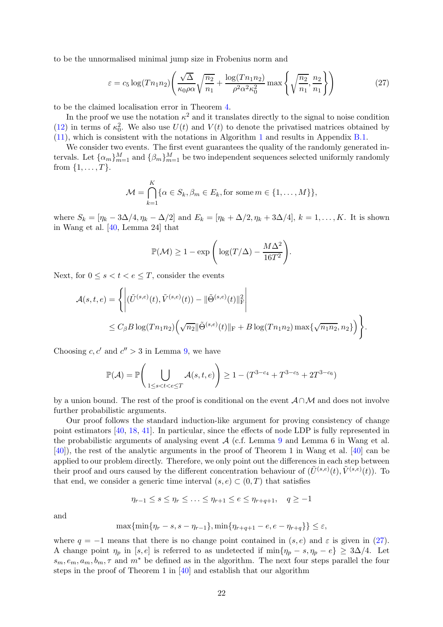to be the unnormalised minimal jump size in Frobenius norm and

<span id="page-21-0"></span>
$$
\varepsilon = c_5 \log(Tn_1n_2) \left( \frac{\sqrt{\Delta}}{\kappa_0 \rho \alpha} \sqrt{\frac{n_2}{n_1}} + \frac{\log(Tn_1n_2)}{\rho^2 \alpha^2 \kappa_0^2} \max\left\{ \sqrt{\frac{n_2}{n_1}}, \frac{n_2}{n_1} \right\} \right)
$$
(27)

to be the claimed localisation error in Theorem [4.](#page-8-0)

In the proof we use the notation  $\kappa^2$  and it translates directly to the signal to noise condition [\(12\)](#page-8-2) in terms of  $\kappa_0^2$ . We also use  $U(t)$  and  $V(t)$  to denote the privatised matrices obtained by [\(11\)](#page-8-1), which is consistent with the notations in Algorithm [1](#page-6-0) and results in Appendix [B.1.](#page-24-0)

We consider two events. The first event guarantees the quality of the randomly generated intervals. Let  $\{\alpha_m\}_{m=1}^M$  and  $\{\beta_m\}_{m=1}^M$  be two independent sequences selected uniformly randomly from  $\{1, ..., T\}$ .

$$
\mathcal{M} = \bigcap_{k=1}^K {\alpha \in S_k, \beta_m \in E_k, \text{for some } m \in \{1, \dots, M\}},
$$

where  $S_k = [\eta_k - 3\Delta/4, \eta_k - \Delta/2]$  and  $E_k = [\eta_k + \Delta/2, \eta_k + 3\Delta/4], k = 1, ..., K$ . It is shown in Wang et al. [\[40](#page-12-5), Lemma 24] that

$$
\mathbb{P}(\mathcal{M}) \ge 1 - \exp\Bigg(\log(T/\Delta) - \frac{M\Delta^2}{16T^2}\Bigg).
$$

Next, for  $0 \leq s \leq t \leq e \leq T$ , consider the events

$$
\mathcal{A}(s,t,e) = \left\{ \left| (\tilde{U}^{(s,e)}(t), \tilde{V}^{(s,e)}(t)) - ||\tilde{\Theta}^{(s,e)}(t)||_{\text{F}}^2 \right| \\ \leq C_{\beta} B \log(Tn_1n_2) \left( \sqrt{n_2} ||\tilde{\Theta}^{(s,e)}(t)||_{\text{F}} + B \log(Tn_1n_2) \max\{\sqrt{n_1n_2}, n_2\} \right) \right\}.
$$

Choosing  $c, c'$  and  $c'' > 3$  in Lemma [9,](#page-25-0) we have

$$
\mathbb{P}(\mathcal{A}) = \mathbb{P}\left(\bigcup_{1 \le s < t < e \le T} \mathcal{A}(s, t, e)\right) \ge 1 - (T^{3 - c_4} + T^{3 - c_5} + 2T^{3 - c_6})
$$

by a union bound. The rest of the proof is conditional on the event  $\mathcal{A} \cap \mathcal{M}$  and does not involve further probabilistic arguments.

Our proof follows the standard induction-like argument for proving consistency of change point estimators [\[40,](#page-12-5) [18](#page-11-16), [41](#page-12-14)]. In particular, since the effects of node LDP is fully represented in the probabilistic arguments of analysing event  $A$  (c.f. Lemma [9](#page-25-0) and Lemma 6 in Wang et al. [\[40\]](#page-12-5)), the rest of the analytic arguments in the proof of Theorem 1 in Wang et al. [\[40\]](#page-12-5) can be applied to our problem directly. Therefore, we only point out the differences in each step between their proof and ours caused by the different concentration behaviour of  $(\tilde{U}^{(s,e)}(t), \tilde{V}^{(s,e)}(t))$ . To that end, we consider a generic time interval  $(s, e) \subset (0, T)$  that satisfies

$$
\eta_{r-1} \leq s \leq \eta_r \leq \ldots \leq \eta_{r+1} \leq e \leq \eta_{r+q+1}, \quad q \geq -1
$$

and

$$
\max\{\min\{\eta_r - s, s - \eta_{r-1}\}, \min\{\eta_{r+q+1} - e, e - \eta_{r+q}\}\} \leq \varepsilon,
$$

where  $q = -1$  means that there is no change point contained in  $(s, e)$  and  $\varepsilon$  is given in [\(27\)](#page-21-0). A change point  $\eta_p$  in [s, e] is referred to as undetected if  $\min{\{\eta_p - s, \eta_p - e\}} \geq 3\Delta/4$ . Let  $s_m, e_m, a_m, b_m, \tau$  and  $m^*$  be defined as in the algorithm. The next four steps parallel the four steps in the proof of Theorem 1 in [\[40\]](#page-12-5) and establish that our algorithm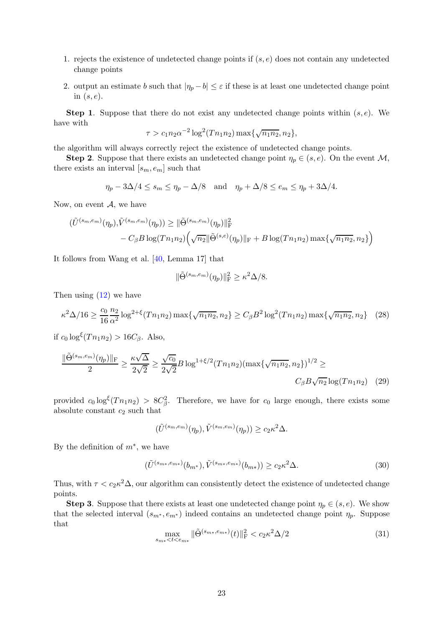- 1. rejects the existence of undetected change points if  $(s, e)$  does not contain any undetected change points
- 2. output an estimate b such that  $|\eta_p b| \leq \varepsilon$  if these is at least one undetected change point in  $(s, e)$ .

**Step 1.** Suppose that there do not exist any undetected change points within  $(s, e)$ . We have with

$$
\tau > c_1 n_2 \alpha^{-2} \log^2(T n_1 n_2) \max\{\sqrt{n_1 n_2}, n_2\},\
$$

the algorithm will always correctly reject the existence of undetected change points.

**Step 2.** Suppose that there exists an undetected change point  $\eta_p \in (s, e)$ . On the event M, there exists an interval  $[s_m, e_m]$  such that

$$
\eta_p - 3\Delta/4 \leq s_m \leq \eta_p - \Delta/8
$$
 and  $\eta_p + \Delta/8 \leq e_m \leq \eta_p + 3\Delta/4$ .

Now, on event  $A$ , we have

$$
\begin{aligned} (\tilde{U}^{(s_m, e_m)}(\eta_p), & \tilde{V}^{(s_m, e_m)}(\eta_p)) \ge ||\tilde{\Theta}^{(s_m, e_m)}(\eta_p)||_{\mathrm{F}}^2 \\ &- C_{\beta} B \log (T n_1 n_2) \Big(\sqrt{n_2} ||\tilde{\Theta}^{(s,e)}(\eta_p)||_{\mathrm{F}} + B \log (T n_1 n_2) \max \{\sqrt{n_1 n_2}, n_2\} \Big) \end{aligned}
$$

It follows from Wang et al. [\[40](#page-12-5), Lemma 17] that

<span id="page-22-3"></span>
$$
\|\tilde{\Theta}^{(s_m, e_m)}(\eta_p)\|_{\mathcal{F}}^2 \geq \kappa^2 \Delta/8.
$$

Then using  $(12)$  we have

<span id="page-22-2"></span>
$$
\kappa^2 \Delta/16 \ge \frac{c_0}{16} \frac{n_2}{\alpha^2} \log^{2+\xi} (T n_1 n_2) \max\{\sqrt{n_1 n_2}, n_2\} \ge C_\beta B^2 \log^2 (T n_1 n_2) \max\{\sqrt{n_1 n_2}, n_2\} \quad (28)
$$

if  $c_0 \log^{\xi}(T n_1 n_2) > 16C_{\beta}$ . Also,

$$
\frac{\|\tilde{\Theta}^{(s_m, e_m)}(\eta_p)\|_{\mathrm{F}}}{2} \ge \frac{\kappa\sqrt{\Delta}}{2\sqrt{2}} \ge \frac{\sqrt{c_0}}{2\sqrt{2}} B \log^{1+\xi/2} (T n_1 n_2) (\max\{\sqrt{n_1 n_2}, n_2\})^{1/2} \ge C_\beta B \sqrt{n_2} \log(T n_1 n_2) \tag{29}
$$

provided  $c_0 \log^{\xi}(T n_1 n_2) > 8C_{\beta}^2$ . Therefore, we have for  $c_0$  large enough, there exists some absolute constant  $c_2$  such that

$$
(\tilde{U}^{(s_m,e_m)}(\eta_p), \tilde{V}^{(s_m,e_m)}(\eta_p)) \ge c_2 \kappa^2 \Delta.
$$

By the definition of  $m^*$ , we have

<span id="page-22-1"></span>
$$
(\tilde{U}^{(s_{m*}, e_{m*})}(b_{m*}), \tilde{V}^{(s_{m*}, e_{m*})}(b_{m*})) \ge c_2 \kappa^2 \Delta.
$$
\n(30)

Thus, with  $\tau < c_2 \kappa^2 \Delta$ , our algorithm can consistently detect the existence of undetected change points.

**Step 3.** Suppose that there exists at least one undetected change point  $\eta_p \in (s, e)$ . We show that the selected interval  $(s_{m^*}, e_{m^*})$  indeed contains an undetected change point  $\eta_p$ . Suppose that

<span id="page-22-0"></span>
$$
\max_{s_{m*} < t < e_{m*}} \| \tilde{\Theta}^{(s_{m*}, e_{m*})}(t) \|_{\mathcal{F}}^2 < c_2 \kappa^2 \Delta / 2 \tag{31}
$$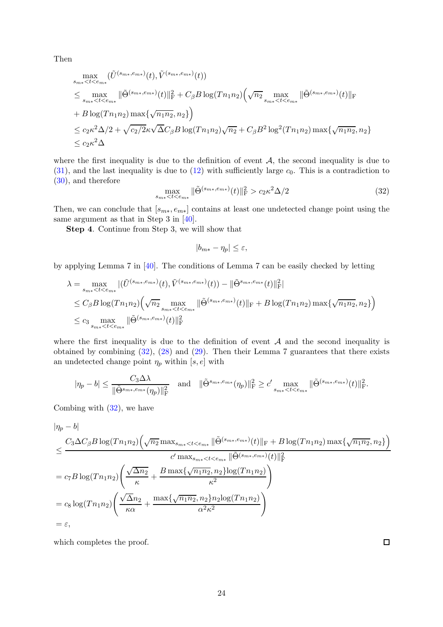Then

$$
\max_{s_{m*} < t < e_{m*}} (\tilde{U}^{(s_{m*}, e_{m*})}(t), \tilde{V}^{(s_{m*}, e_{m*})}(t))
$$
\n
$$
\leq \max_{s_{m*} < t < e_{m*}} \|\tilde{\Theta}^{(s_{m*}, e_{m*})}(t)\|_{\mathcal{F}}^2 + C_{\beta} B \log(Tn_1 n_2) \left(\sqrt{n_2} \max_{s_{m*} < t < e_{m*}} \|\tilde{\Theta}^{(s_{m*}, e_{m*})}(t)\|_{\mathcal{F}}\right)
$$
\n
$$
+ B \log(Tn_1 n_2) \max \left\{\sqrt{n_1 n_2}, n_2\right\}
$$
\n
$$
\leq c_2 \kappa^2 \Delta/2 + \sqrt{c_2/2} \kappa \sqrt{\Delta} C_{\beta} B \log(Tn_1 n_2) \sqrt{n_2} + C_{\beta} B^2 \log^2(Tn_1 n_2) \max \left\{\sqrt{n_1 n_2}, n_2\right\}
$$
\n
$$
\leq c_2 \kappa^2 \Delta
$$

where the first inequality is due to the definition of event  $A$ , the second inequality is due to  $(31)$ , and the last inequality is due to  $(12)$  with sufficiently large  $c_0$ . This is a contradiction to [\(30\)](#page-22-1), and therefore

<span id="page-23-0"></span>
$$
\max_{s_{m*} < t < e_{m*}} \| \tilde{\Theta}^{(s_{m*}, e_{m*})}(t) \|_{\mathcal{F}}^2 > c_2 \kappa^2 \Delta / 2 \tag{32}
$$

Then, we can conclude that  $[s_{m*}, e_{m*}]$  contains at least one undetected change point using the same argument as that in Step 3 in [\[40](#page-12-5)].

Step 4. Continue from Step 3, we will show that

$$
|b_{m*} - \eta_p| \le \varepsilon,
$$

by applying Lemma 7 in [\[40](#page-12-5)]. The conditions of Lemma 7 can be easily checked by letting

$$
\lambda = \max_{s_{m*} < t < e_{m*}} |(\tilde{U}^{(s_{m*}, e_{m*})}(t), \tilde{V}^{(s_{m*}, e_{m*})}(t)) - ||\tilde{\Theta}^{s_{m*}, e_{m*}}(t)||_F^2|
$$
\n
$$
\leq C_\beta B \log(Tn_1n_2) \Big(\sqrt{n_2} \max_{s_{m*} < t < e_{m*}} ||\tilde{\Theta}^{(s_{m*}, e_{m*})}(t)||_F + B \log(Tn_1n_2) \max\{\sqrt{n_1n_2}, n_2\}\Big)
$$
\n
$$
\leq c_3 \max_{s_{m*} < t < e_{m*}} ||\tilde{\Theta}^{(s_{m*}, e_{m*})}(t)||_F^2
$$

where the first inequality is due to the definition of event  $A$  and the second inequality is obtained by combining [\(32\)](#page-23-0), [\(28\)](#page-22-2) and [\(29\)](#page-22-3). Then their Lemma 7 guarantees that there exists an undetected change point  $\eta_p$  within [s, e] with

$$
|\eta_p - b| \le \frac{C_3 \Delta \lambda}{\|\tilde{\Theta}^{s_{m*}, e_{m*}}(\eta_p)\|_{\text{F}}^2} \quad \text{and} \quad \|\tilde{\Theta}^{s_{m*}, e_{m*}}(\eta_p)\|_{\text{F}}^2 \ge c' \max_{s_{m*} < t < e_{m*}} \|\tilde{\Theta}^{(s_{m*}, e_{m*})}(t)\|_{\text{F}}^2.
$$

Combing with [\(32\)](#page-23-0), we have

$$
\begin{split}\n|\eta_{p} - b| \\
&\leq \frac{C_{3} \Delta C_{\beta} B \log (T n_{1} n_{2}) \left(\sqrt{n_{2}} \max_{s_{m*} < t < e_{m*} \|\tilde{\Theta}^{(s_{m*}, e_{m*})}(t)\|_{\rm F} + B \log (T n_{1} n_{2}) \max \{\sqrt{n_{1} n_{2}}, n_{2}\}\right)}{c' \max_{s_{m*} < t < e_{m*} \|\tilde{\Theta}^{(s_{m*}, e_{m*})}(t)\|_{\rm F}^{2}} \\
&= c_{7} B \log (T n_{1} n_{2}) \left(\frac{\sqrt{\Delta n_{2}}}{\kappa} + \frac{B \max \{\sqrt{n_{1} n_{2}}, n_{2}\} \log (T n_{1} n_{2})}{\kappa^{2}}\right) \\
&= c_{8} \log (T n_{1} n_{2}) \left(\frac{\sqrt{\Delta n_{2}}}{\kappa \alpha} + \frac{\max \{\sqrt{n_{1} n_{2}}, n_{2}\} n_{2} \log (T n_{1} n_{2})}{\alpha^{2} \kappa^{2}}\right) \\
&= \varepsilon,\n\end{split}
$$

which completes the proof.

 $\Box$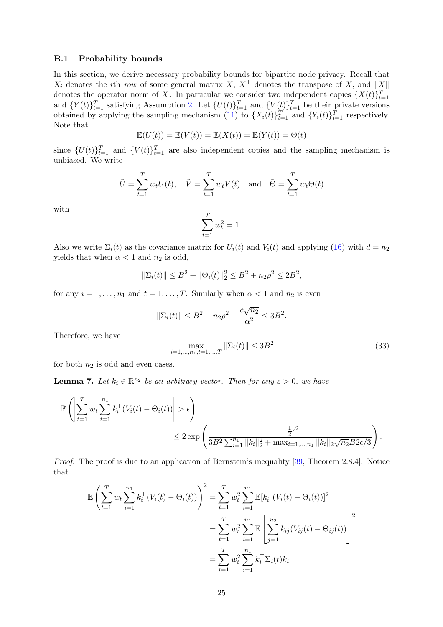#### <span id="page-24-0"></span>B.1 Probability bounds

In this section, we derive necessary probability bounds for bipartite node privacy. Recall that  $X_i$  denotes the *i*th *row* of some general matrix X,  $X^{\top}$  denotes the transpose of X, and  $||X||$ denotes the operator norm of X. In particular we consider two independent copies  $\{X(t)\}_{t=1}^T$ and  $\{Y(t)\}_{t=1}^T$  satisfying Assumption [2.](#page-2-3) Let  $\{U(t)\}_{t=1}^T$  and  $\{V(t)\}_{t=1}^T$  be their private versions obtained by applying the sampling mechanism [\(11\)](#page-8-1) to  $\{X_i(t)\}_{t=1}^T$  and  $\{Y_i(t)\}_{t=1}^T$  respectively. Note that

$$
\mathbb{E}(U(t)) = \mathbb{E}(V(t)) = \mathbb{E}(X(t)) = \mathbb{E}(Y(t)) = \Theta(t)
$$

since  $\{U(t)\}_{t=1}^T$  and  $\{V(t)\}_{t=1}^T$  are also independent copies and the sampling mechanism is unbiased. We write

$$
\tilde{U} = \sum_{t=1}^{T} w_t U(t), \quad \tilde{V} = \sum_{t=1}^{T} w_t V(t) \quad \text{and} \quad \tilde{\Theta} = \sum_{t=1}^{T} w_t \Theta(t)
$$

with

$$
\sum_{t=1}^{T} w_t^2 = 1.
$$

Also we write  $\Sigma_i(t)$  as the covariance matrix for  $U_i(t)$  and  $V_i(t)$  and applying [\(16\)](#page-9-2) with  $d = n_2$ yields that when  $\alpha < 1$  and  $n_2$  is odd,

$$
\|\Sigma_i(t)\| \le B^2 + \|\Theta_i(t)\|_2^2 \le B^2 + n_2\rho^2 \le 2B^2,
$$

for any  $i = 1, ..., n_1$  and  $t = 1, ..., T$ . Similarly when  $\alpha < 1$  and  $n_2$  is even

$$
\|\Sigma_i(t)\| \le B^2 + n_2\rho^2 + \frac{c\sqrt{n_2}}{\alpha^2} \le 3B^2.
$$

Therefore, we have

<span id="page-24-1"></span>
$$
\max_{i=1,\dots,n_1,t=1,\dots,T} \|\Sigma_i(t)\| \le 3B^2
$$
\n(33)

<span id="page-24-2"></span>for both  $n_2$  is odd and even cases.

**Lemma 7.** Let  $k_i \in \mathbb{R}^{n_2}$  be an arbitrary vector. Then for any  $\varepsilon > 0$ , we have

$$
\mathbb{P}\left(\left|\sum_{t=1}^T w_t \sum_{i=1}^{n_1} k_i^{\top} (V_i(t) - \Theta_i(t))\right| > \epsilon\right) \leq 2 \exp\left(\frac{-\frac{1}{2}\epsilon^2}{3B^2 \sum_{i=1}^{n_1} ||k_i||_2^2 + \max_{i=1,\dots,n_1} ||k_i||_2 \sqrt{n_2} B 2\epsilon/3}\right).
$$

*Proof.* The proof is due to an application of Bernstein's inequality [\[39](#page-12-13), Theorem 2.8.4]. Notice that

$$
\mathbb{E}\left(\sum_{t=1}^{T} w_t \sum_{i=1}^{n_1} k_i^{\top} (V_i(t) - \Theta_i(t))\right)^2 = \sum_{t=1}^{T} w_t^2 \sum_{i=1}^{n_1} \mathbb{E}[k_i^{\top} (V_i(t) - \Theta_i(t))]^2
$$
  

$$
= \sum_{t=1}^{T} w_t^2 \sum_{i=1}^{n_1} \mathbb{E}\left[\sum_{j=1}^{n_2} k_{ij} (V_{ij}(t) - \Theta_{ij}(t))\right]^2
$$
  

$$
= \sum_{t=1}^{T} w_t^2 \sum_{i=1}^{n_1} k_i^{\top} \Sigma_i(t) k_i
$$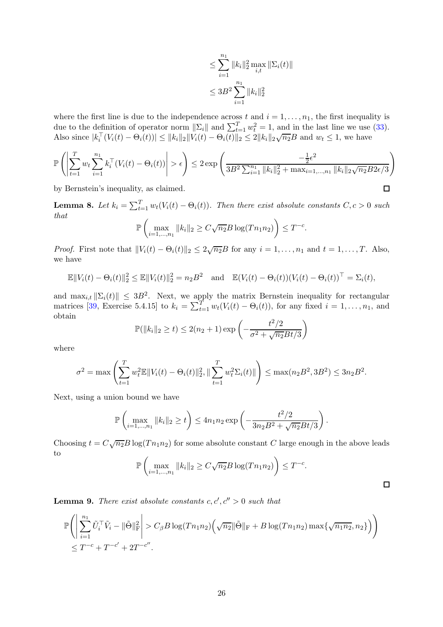$$
\leq \sum_{i=1}^{n_1} \|k_i\|_2^2 \max_{i,t} \|\Sigma_i(t)\|
$$
  

$$
\leq 3B^2 \sum_{i=1}^{n_1} \|k_i\|_2^2
$$

 $\Box$ 

 $\Box$ 

where the first line is due to the independence across t and  $i = 1, \ldots, n_1$ , the first inequality is due to the definition of operator norm  $\|\Sigma_i\|$  and  $\sum_{t=1}^T w_t^2 = 1$ , and in the last line we use [\(33\)](#page-24-1). Also since  $|k_i^{\top}(V_i(t) - \Theta_i(t))| \le ||k_i||_2 ||V_i(t) - \Theta_i(t)||_2 \le 2||k_i||_2 \sqrt{n_2}B$  and  $w_t \le 1$ , we have

$$
\mathbb{P}\left(\left|\sum_{t=1}^T w_t \sum_{i=1}^{n_1} k_i^{\top} (V_i(t) - \Theta_i(t))\right| > \epsilon\right) \le 2 \exp\left(\frac{-\frac{1}{2}\epsilon^2}{3B^2 \sum_{i=1}^{n_1} ||k_i||_2^2 + \max_{i=1,\dots,n_1} ||k_i||_2 \sqrt{n_2 B 2\epsilon/3}}\right)
$$

<span id="page-25-1"></span>by Bernstein's inequality, as claimed.

**Lemma 8.** Let  $k_i = \sum_{t=1}^T w_t(V_i(t) - \Theta_i(t))$ . Then there exist absolute constants  $C, c > 0$  such *that*

$$
\mathbb{P}\left(\max_{i=1,\dots,n_1} \|k_i\|_2 \ge C\sqrt{n_2}B\log(Tn_1n_2)\right) \le T^{-c}.
$$

*Proof.* First note that  $||V_i(t) - \Theta_i(t)||_2 \leq 2\sqrt{n_2}B$  for any  $i = 1, ..., n_1$  and  $t = 1, ..., T$ . Also, we have

$$
\mathbb{E}||V_i(t) - \Theta_i(t)||_2^2 \le \mathbb{E}||V_i(t)||_2^2 = n_2 B^2 \text{ and } \mathbb{E}(V_i(t) - \Theta_i(t))(V_i(t) - \Theta_i(t))^{\top} = \Sigma_i(t),
$$

and  $\max_{i,t} ||\Sigma_i(t)|| \leq 3B^2$ . Next, we apply the matrix Bernstein inequality for rectangular matrices [\[39](#page-12-13), Exercise 5.4.15] to  $k_i = \sum_{t=1}^T w_t(V_i(t) - \Theta_i(t))$ , for any fixed  $i = 1, \ldots, n_1$ , and obtain

$$
\mathbb{P}(\|k_i\|_2 \ge t) \le 2(n_2 + 1) \exp\left(-\frac{t^2/2}{\sigma^2 + \sqrt{n_2}Bt/3}\right)
$$

where

$$
\sigma^2 = \max \left( \sum_{t=1}^T w_t^2 \mathbb{E} ||V_i(t) - \Theta_i(t)||_2^2, \|\sum_{t=1}^T w_t^2 \Sigma_i(t)|| \right) \le \max(n_2 B^2, 3B^2) \le 3n_2 B^2.
$$

Next, using a union bound we have

$$
\mathbb{P}\left(\max_{i=1,\dots,n_1} \|k_i\|_2 \ge t\right) \le 4n_1n_2 \exp\left(-\frac{t^2/2}{3n_2B^2 + \sqrt{n_2}Bt/3}\right).
$$

Choosing  $t = C\sqrt{n_2}B\log(Tn_1n_2)$  for some absolute constant C large enough in the above leads to  $\sqrt{ }$  $\setminus$ 

$$
\mathbb{P}\left(\max_{i=1,\dots,n_1} \|k_i\|_2 \ge C\sqrt{n_2}B\log(Tn_1n_2)\right) \le T^{-c}.
$$

<span id="page-25-0"></span>**Lemma 9.** There exist absolute constants  $c, c', c'' > 0$  such that

$$
\mathbb{P}\Bigg(\Bigg|\sum_{i=1}^{n_1} \tilde{U}_i^{\top} \tilde{V}_i - \|\tilde{\Theta}\|_{\text{F}}^2\Bigg| > C_{\beta} B \log(Tn_1n_2) \Big(\sqrt{n_2} \|\tilde{\Theta}\|_{\text{F}} + B \log(Tn_1n_2) \max\{\sqrt{n_1n_2}, n_2\}\Big)\Bigg) \leq T^{-c} + T^{-c'} + 2T^{-c''}.
$$